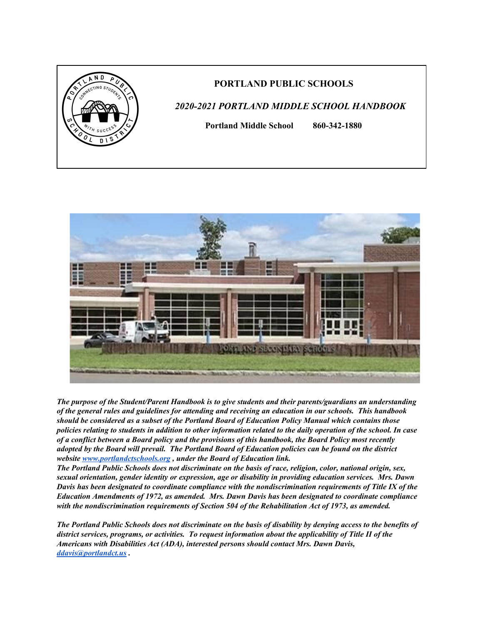

### **PORTLAND PUBLIC SCHOOLS**

# *2020-2021 PORTLAND MIDDLE SCHOOL HANDBOOK*

**Portland Middle School 860-342-1880**



*The purpose of the Student/Parent Handbook is to give students and their parents/guardians an understanding* of the general rules and guidelines for attending and receiving an education in our schools. This handbook *should be considered as a subset of the Portland Board of Education Policy Manual which contains those* policies relating to students in addition to other information related to the daily operation of the school. In case of a conflict between a Board policy and the provisions of this handbook, the Board Policy most recently adopted by the Board will prevail. The Portland Board of Education policies can be found on the district *website [www.portlandctschools.org](http://www.portlandctschools.org/) , under the Board of Education link.*

The Portland Public Schools does not discriminate on the basis of race, religion, color, national origin, sex, *sexual orientation, gender identity or expression, age or disability in providing education services. Mrs. Dawn Davis has been designated to coordinate compliance with the nondiscrimination requirements of Title IX of the Education Amendments of 1972, as amended. Mrs. Dawn Davis has been designated to coordinate compliance with the nondiscrimination requirements of Section 504 of the Rehabilitation Act of 1973, as amended.*

The Portland Public Schools does not discriminate on the basis of disability by denying access to the benefits of *district services, programs, or activities. To request information about the applicability of Title II of the Americans with Disabilities Act (ADA), interested persons should contact Mrs. Dawn Davis, [ddavis@portlandct.us](mailto:ddavis@portlandct.us) .*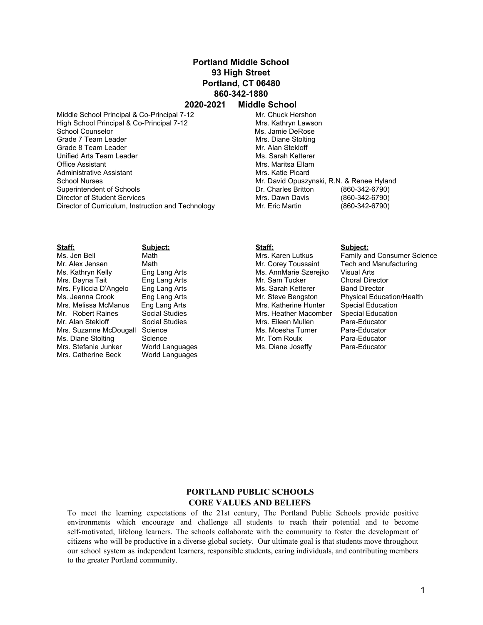## **Portland Middle School 93 High Street Portland, CT 06480 860-342-1880**

### **2020-2021 Middle School**

Middle School Principal & Co-Principal 7-12 Mr. Chuck Hershon High School Principal & Co-Principal 7-12 Mrs. Kathryn Lawson School Counselor **Ms.** Jamie DeRose Grade 7 Team Leader Mrs. Diane Stolting Grade 8 Team Leader Mr. Alan Stekloff Unified Arts Team Leader Mus. Sarah Ketterer Office Assistant Mrs. Maritsa Ellam Administrative Assistant Mrs. Katie Picard School Nurses **Mr. David Opuszynski, R.N. & Renee Hyland** Mr. David Opuszynski, R.N. & Renee Hyland Superintendent of Schools Dr. Charles Britton (860-342-6790) Director of Student Services Mrs. Dawn Davis (860-342-6790) Director of Curriculum, Instruction and Technology Mr. Eric Martin (860-342-6790)

| Staff:                  | Subiect:        |
|-------------------------|-----------------|
| Ms. Jen Bell            | Math            |
| Mr. Alex Jensen         | Math            |
| Ms. Kathryn Kelly       | Eng Lang Arts   |
| Mrs. Dayna Tait         | Eng Lang Arts   |
| Mrs. Fylliccia D'Angelo | Eng Lang Arts   |
| Ms. Jeanna Crook        | Eng Lang Arts   |
| Mrs. Melissa McManus    | Eng Lang Arts   |
| Mr. Robert Raines       | Social Studies  |
| Mr. Alan Stekloff       | Social Studies  |
| Mrs. Suzanne McDougall  | Science         |
| Ms. Diane Stolting      | Science         |
| Mrs. Stefanie Junker    | World Languages |
| Mrs. Catherine Beck     | World Languages |
|                         |                 |

**Staff: Subject:** Ms. AnnMarie Szerejko Visual Arts<br>Mr. Sam Tucker Choral Director Mr. Sam Tucker Ms. Sarah Ketterer Band Director<br>Mr. Steve Bengston Physical Educ Mrs. Katherine Hunter Special Education<br>Mrs. Heather Macomber Special Education Mrs. Heather Macomber Special Educat<br>Mrs. Eileen Mullen Para-Educator Mrs. Eileen Mullen Para-Educator<br>Ms. Moesha Turner Para-Educator Ms. Moesha Turner Para-Educator<br>Mr. Tom Roulx Para-Educator Mr. Tom Roulx Para-Educator<br>
Ms. Diane Joseffy Para-Educator Ms. Diane Joseffy

Family and Consumer Science Mr. Corey Toussaint Tech and Manufacturing Physical Education/Health

### **PORTLAND PUBLIC SCHOOLS CORE VALUES AND BELIEFS**

To meet the learning expectations of the 21st century, The Portland Public Schools provide positive environments which encourage and challenge all students to reach their potential and to become self-motivated, lifelong learners. The schools collaborate with the community to foster the development of citizens who will be productive in a diverse global society. Our ultimate goal is that students move throughout our school system as independent learners, responsible students, caring individuals, and contributing members to the greater Portland community.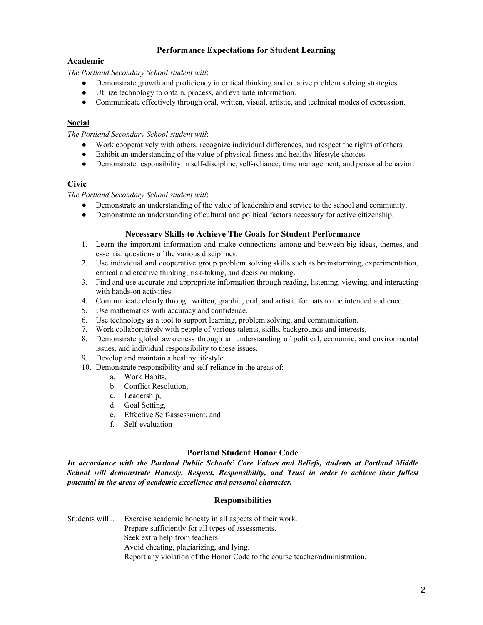### **Performance Expectations for Student Learning**

### **Academic**

*The Portland Secondary School student will*:

- Demonstrate growth and proficiency in critical thinking and creative problem solving strategies.
- Utilize technology to obtain, process, and evaluate information.
- Communicate effectively through oral, written, visual, artistic, and technical modes of expression.

### **Social**

*The Portland Secondary School student will*:

- Work cooperatively with others, recognize individual differences, and respect the rights of others.
- Exhibit an understanding of the value of physical fitness and healthy lifestyle choices.
- Demonstrate responsibility in self-discipline, self-reliance, time management, and personal behavior.

### **Civic**

*The Portland Secondary School student will*:

- Demonstrate an understanding of the value of leadership and service to the school and community.
- Demonstrate an understanding of cultural and political factors necessary for active citizenship.

### **Necessary Skills to Achieve The Goals for Student Performance**

- 1. Learn the important information and make connections among and between big ideas, themes, and essential questions of the various disciplines.
- 2. Use individual and cooperative group problem solving skills such as brainstorming, experimentation, critical and creative thinking, risk-taking, and decision making.
- 3. Find and use accurate and appropriate information through reading, listening, viewing, and interacting with hands-on activities.
- 4. Communicate clearly through written, graphic, oral, and artistic formats to the intended audience.
- 5. Use mathematics with accuracy and confidence.
- 6. Use technology as a tool to support learning, problem solving, and communication.
- 7. Work collaboratively with people of various talents, skills, backgrounds and interests.
- 8. Demonstrate global awareness through an understanding of political, economic, and environmental issues, and individual responsibility to these issues.
- 9. Develop and maintain a healthy lifestyle.
- 10. Demonstrate responsibility and self-reliance in the areas of:
	- a. Work Habits,
	- b. Conflict Resolution,
	- c. Leadership,
	- d. Goal Setting,
	- e. Effective Self-assessment, and
	- f. Self-evaluation

### **Portland Student Honor Code**

*In accordance with the Portland Public Schools' Core Values and Beliefs, students at Portland Middle School will demonstrate Honesty, Respect, Responsibility, and Trust in order to achieve their fullest potential in the areas of academic excellence and personal character.*

### **Responsibilities**

Students will... Exercise academic honesty in all aspects of their work. Prepare sufficiently for all types of assessments. Seek extra help from teachers. Avoid cheating, plagiarizing, and lying. Report any violation of the Honor Code to the course teacher/administration.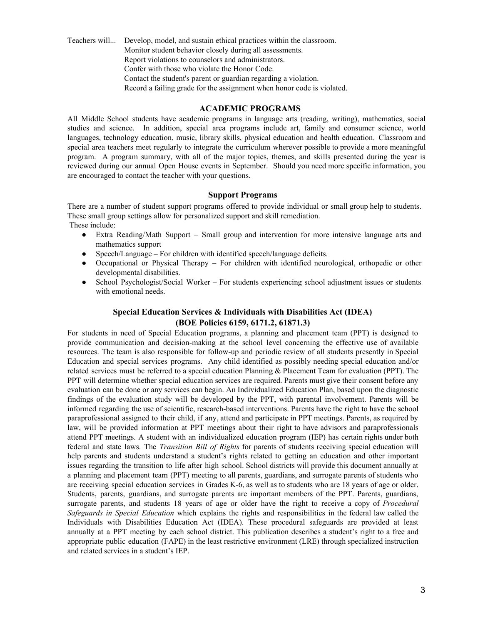Teachers will... Develop, model, and sustain ethical practices within the classroom. Monitor student behavior closely during all assessments. Report violations to counselors and administrators. Confer with those who violate the Honor Code. Contact the student's parent or guardian regarding a violation. Record a failing grade for the assignment when honor code is violated.

#### **ACADEMIC PROGRAMS**

All Middle School students have academic programs in language arts (reading, writing), mathematics, social studies and science. In addition, special area programs include art, family and consumer science, world languages, technology education, music, library skills, physical education and health education. Classroom and special area teachers meet regularly to integrate the curriculum wherever possible to provide a more meaningful program. A program summary, with all of the major topics, themes, and skills presented during the year is reviewed during our annual Open House events in September. Should you need more specific information, you are encouraged to contact the teacher with your questions.

#### **Support Programs**

There are a number of student support programs offered to provide individual or small group help to students. These small group settings allow for personalized support and skill remediation. These include:

- Extra Reading/Math Support Small group and intervention for more intensive language arts and mathematics support
- $Speech/Language For children with identified speech/language deficits.$
- Occupational or Physical Therapy For children with identified neurological, orthopedic or other developmental disabilities.
- School Psychologist/Social Worker For students experiencing school adjustment issues or students with emotional needs.

### **Special Education Services & Individuals with Disabilities Act (IDEA) (BOE Policies 6159, 6171.2, 61871.3)**

For students in need of Special Education programs, a planning and placement team (PPT) is designed to provide communication and decision-making at the school level concerning the effective use of available resources. The team is also responsible for follow-up and periodic review of all students presently in Special Education and special services programs. Any child identified as possibly needing special education and/or related services must be referred to a special education Planning & Placement Team for evaluation (PPT). The PPT will determine whether special education services are required. Parents must give their consent before any evaluation can be done or any services can begin. An Individualized Education Plan, based upon the diagnostic findings of the evaluation study will be developed by the PPT, with parental involvement. Parents will be informed regarding the use of scientific, research-based interventions. Parents have the right to have the school paraprofessional assigned to their child, if any, attend and participate in PPT meetings. Parents, as required by law, will be provided information at PPT meetings about their right to have advisors and paraprofessionals attend PPT meetings. A student with an individualized education program (IEP) has certain rights under both federal and state laws. The *Transition Bill of Rights* for parents of students receiving special education will help parents and students understand a student's rights related to getting an education and other important issues regarding the transition to life after high school. School districts will provide this document annually at a planning and placement team (PPT) meeting to all parents, guardians, and surrogate parents of students who are receiving special education services in Grades K-6, as well as to students who are 18 years of age or older. Students, parents, guardians, and surrogate parents are important members of the PPT. Parents, guardians, surrogate parents, and students 18 years of age or older have the right to receive a copy of *Procedural Safeguards in Special Education* which explains the rights and responsibilities in the federal law called the Individuals with Disabilities Education Act (IDEA). These procedural safeguards are provided at least annually at a PPT meeting by each school district. This publication describes a student's right to a free and appropriate public education (FAPE) in the least restrictive environment (LRE) through specialized instruction and related services in a student's IEP.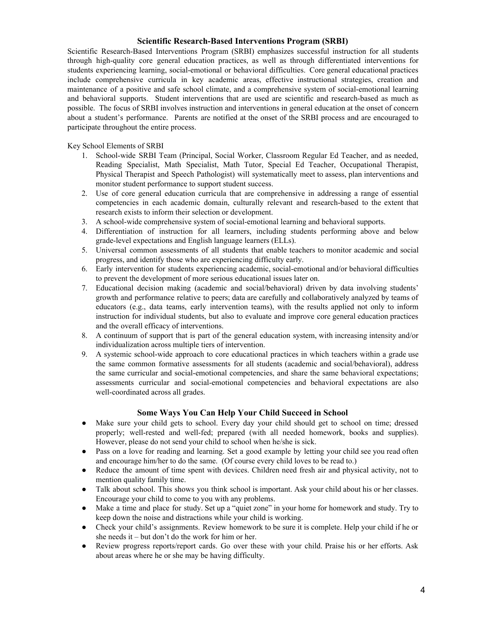### **Scientific Research-Based Interventions Program (SRBI)**

Scientific Research-Based Interventions Program (SRBI) emphasizes successful instruction for all students through high-quality core general education practices, as well as through differentiated interventions for students experiencing learning, social-emotional or behavioral difficulties. Core general educational practices include comprehensive curricula in key academic areas, effective instructional strategies, creation and maintenance of a positive and safe school climate, and a comprehensive system of social-emotional learning and behavioral supports. Student interventions that are used are scientific and research-based as much as possible. The focus of SRBI involves instruction and interventions in general education at the onset of concern about a student's performance. Parents are notified at the onset of the SRBI process and are encouraged to participate throughout the entire process.

Key School Elements of SRBI

- 1. School-wide SRBI Team (Principal, Social Worker, Classroom Regular Ed Teacher, and as needed, Reading Specialist, Math Specialist, Math Tutor, Special Ed Teacher, Occupational Therapist, Physical Therapist and Speech Pathologist) will systematically meet to assess, plan interventions and monitor student performance to support student success.
- 2. Use of core general education curricula that are comprehensive in addressing a range of essential competencies in each academic domain, culturally relevant and research-based to the extent that research exists to inform their selection or development.
- 3. A school-wide comprehensive system of social-emotional learning and behavioral supports.
- 4. Differentiation of instruction for all learners, including students performing above and below grade-level expectations and English language learners (ELLs).
- 5. Universal common assessments of all students that enable teachers to monitor academic and social progress, and identify those who are experiencing difficulty early.
- 6. Early intervention for students experiencing academic, social-emotional and/or behavioral difficulties to prevent the development of more serious educational issues later on.
- 7. Educational decision making (academic and social/behavioral) driven by data involving students' growth and performance relative to peers; data are carefully and collaboratively analyzed by teams of educators (e.g., data teams, early intervention teams), with the results applied not only to inform instruction for individual students, but also to evaluate and improve core general education practices and the overall efficacy of interventions.
- 8. A continuum of support that is part of the general education system, with increasing intensity and/or individualization across multiple tiers of intervention.
- 9. A systemic school-wide approach to core educational practices in which teachers within a grade use the same common formative assessments for all students (academic and social/behavioral), address the same curricular and social-emotional competencies, and share the same behavioral expectations; assessments curricular and social-emotional competencies and behavioral expectations are also well-coordinated across all grades.

### **Some Ways You Can Help Your Child Succeed in School**

- Make sure your child gets to school. Every day your child should get to school on time; dressed properly; well-rested and well-fed; prepared (with all needed homework, books and supplies). However, please do not send your child to school when he/she is sick.
- Pass on a love for reading and learning. Set a good example by letting your child see you read often and encourage him/her to do the same. (Of course every child loves to be read to.)
- Reduce the amount of time spent with devices. Children need fresh air and physical activity, not to mention quality family time.
- Talk about school. This shows you think school is important. Ask your child about his or her classes. Encourage your child to come to you with any problems.
- Make a time and place for study. Set up a "quiet zone" in your home for homework and study. Try to keep down the noise and distractions while your child is working.
- Check your child's assignments. Review homework to be sure it is complete. Help your child if he or she needs it – but don't do the work for him or her.
- Review progress reports/report cards. Go over these with your child. Praise his or her efforts. Ask about areas where he or she may be having difficulty.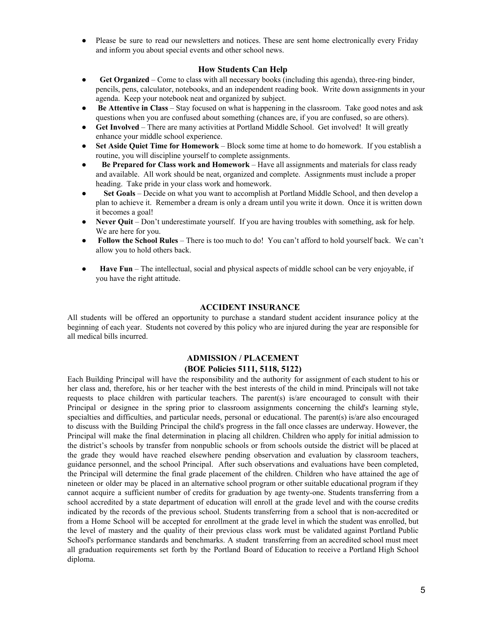● Please be sure to read our newsletters and notices. These are sent home electronically every Friday and inform you about special events and other school news.

#### **How Students Can Help**

- **Get Organized** Come to class with all necessary books (including this agenda), three-ring binder, pencils, pens, calculator, notebooks, and an independent reading book. Write down assignments in your agenda. Keep your notebook neat and organized by subject.
- **Be Attentive in Class** Stay focused on what is happening in the classroom. Take good notes and ask questions when you are confused about something (chances are, if you are confused, so are others).
- Get Involved There are many activities at Portland Middle School. Get involved! It will greatly enhance your middle school experience.
- **Set Aside Quiet Time for Homework** Block some time at home to do homework. If you establish a routine, you will discipline yourself to complete assignments.
- **Be Prepared for Class work and Homework** Have all assignments and materials for class ready and available. All work should be neat, organized and complete. Assignments must include a proper heading. Take pride in your class work and homework.
- **Set Goals** Decide on what you want to accomplish at Portland Middle School, and then develop a plan to achieve it. Remember a dream is only a dream until you write it down. Once it is written down it becomes a goal!
- **Never Quit** Don't underestimate yourself. If you are having troubles with something, ask for help. We are here for you.
- **Follow the School Rules** There is too much to do! You can't afford to hold yourself back. We can't allow you to hold others back.
- **Have Fun** The intellectual, social and physical aspects of middle school can be very enjoyable, if you have the right attitude.

#### **ACCIDENT INSURANCE**

All students will be offered an opportunity to purchase a standard student accident insurance policy at the beginning of each year. Students not covered by this policy who are injured during the year are responsible for all medical bills incurred.

### **ADMISSION / PLACEMENT (BOE Policies 5111, 5118, 5122)**

Each Building Principal will have the responsibility and the authority for assignment of each student to his or her class and, therefore, his or her teacher with the best interests of the child in mind. Principals will not take requests to place children with particular teachers. The parent(s) is/are encouraged to consult with their Principal or designee in the spring prior to classroom assignments concerning the child's learning style, specialties and difficulties, and particular needs, personal or educational. The parent(s) is/are also encouraged to discuss with the Building Principal the child's progress in the fall once classes are underway. However, the Principal will make the final determination in placing all children. Children who apply for initial admission to the district's schools by transfer from nonpublic schools or from schools outside the district will be placed at the grade they would have reached elsewhere pending observation and evaluation by classroom teachers, guidance personnel, and the school Principal. After such observations and evaluations have been completed, the Principal will determine the final grade placement of the children. Children who have attained the age of nineteen or older may be placed in an alternative school program or other suitable educational program if they cannot acquire a sufficient number of credits for graduation by age twenty-one. Students transferring from a school accredited by a state department of education will enroll at the grade level and with the course credits indicated by the records of the previous school. Students transferring from a school that is non-accredited or from a Home School will be accepted for enrollment at the grade level in which the student was enrolled, but the level of mastery and the quality of their previous class work must be validated against Portland Public School's performance standards and benchmarks. A student transferring from an accredited school must meet all graduation requirements set forth by the Portland Board of Education to receive a Portland High School diploma.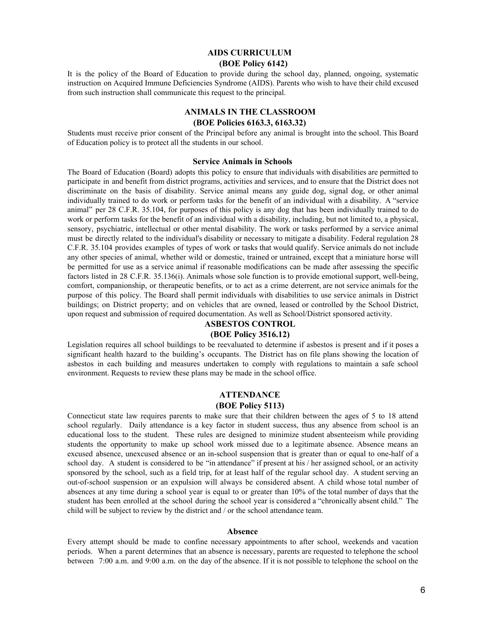### **AIDS CURRICULUM (BOE Policy 6142)**

It is the policy of the Board of Education to provide during the school day, planned, ongoing, systematic instruction on Acquired Immune Deficiencies Syndrome (AIDS). Parents who wish to have their child excused from such instruction shall communicate this request to the principal.

# **ANIMALS IN THE CLASSROOM**

### **(BOE Policies 6163.3, 6163.32)**

Students must receive prior consent of the Principal before any animal is brought into the school. This Board of Education policy is to protect all the students in our school.

#### **Service Animals in Schools**

The Board of Education (Board) adopts this policy to ensure that individuals with disabilities are permitted to participate in and benefit from district programs, activities and services, and to ensure that the District does not discriminate on the basis of disability. Service animal means any guide dog, signal dog, or other animal individually trained to do work or perform tasks for the benefit of an individual with a disability. A "service animal" per 28 C.F.R. 35.104, for purposes of this policy is any dog that has been individually trained to do work or perform tasks for the benefit of an individual with a disability, including, but not limited to, a physical, sensory, psychiatric, intellectual or other mental disability. The work or tasks performed by a service animal must be directly related to the individual's disability or necessary to mitigate a disability. Federal regulation 28 C.F.R. 35.104 provides examples of types of work or tasks that would qualify. Service animals do not include any other species of animal, whether wild or domestic, trained or untrained, except that a miniature horse will be permitted for use as a service animal if reasonable modifications can be made after assessing the specific factors listed in 28 C.F.R. 35.136(i). Animals whose sole function is to provide emotional support, well-being, comfort, companionship, or therapeutic benefits, or to act as a crime deterrent, are not service animals for the purpose of this policy. The Board shall permit individuals with disabilities to use service animals in District buildings; on District property; and on vehicles that are owned, leased or controlled by the School District, upon request and submission of required documentation. As well as School/District sponsored activity.

### **ASBESTOS CONTROL**

### **(BOE Policy 3516.12)**

Legislation requires all school buildings to be reevaluated to determine if asbestos is present and if it poses a significant health hazard to the building's occupants. The District has on file plans showing the location of asbestos in each building and measures undertaken to comply with regulations to maintain a safe school environment. Requests to review these plans may be made in the school office.

#### **ATTENDANCE (BOE Policy 5113)**

Connecticut state law requires parents to make sure that their children between the ages of 5 to 18 attend school regularly. Daily attendance is a key factor in student success, thus any absence from school is an educational loss to the student. These rules are designed to minimize student absenteeism while providing students the opportunity to make up school work missed due to a legitimate absence. Absence means an excused absence, unexcused absence or an in-school suspension that is greater than or equal to one-half of a school day. A student is considered to be "in attendance" if present at his / her assigned school, or an activity sponsored by the school, such as a field trip, for at least half of the regular school day. A student serving an out-of-school suspension or an expulsion will always be considered absent. A child whose total number of absences at any time during a school year is equal to or greater than 10% of the total number of days that the student has been enrolled at the school during the school year is considered a "chronically absent child." The child will be subject to review by the district and / or the school attendance team.

#### **Absence**

Every attempt should be made to confine necessary appointments to after school, weekends and vacation periods. When a parent determines that an absence is necessary, parents are requested to telephone the school between 7:00 a.m. and 9:00 a.m. on the day of the absence. If it is not possible to telephone the school on the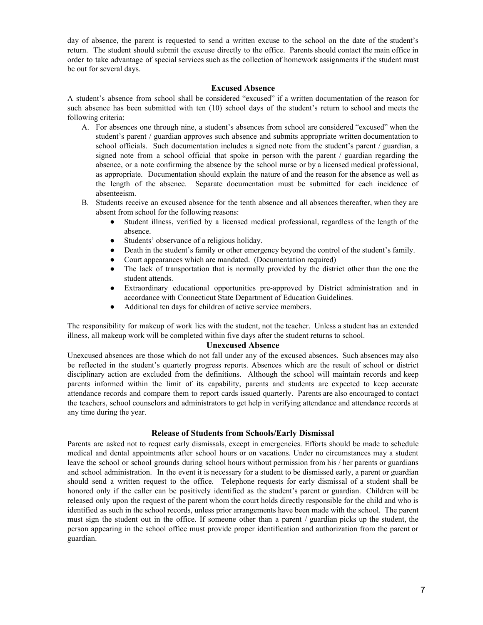day of absence, the parent is requested to send a written excuse to the school on the date of the student's return. The student should submit the excuse directly to the office. Parents should contact the main office in order to take advantage of special services such as the collection of homework assignments if the student must be out for several days.

#### **Excused Absence**

A student's absence from school shall be considered "excused" if a written documentation of the reason for such absence has been submitted with ten (10) school days of the student's return to school and meets the following criteria:

- A. For absences one through nine, a student's absences from school are considered "excused" when the student's parent / guardian approves such absence and submits appropriate written documentation to school officials. Such documentation includes a signed note from the student's parent / guardian, a signed note from a school official that spoke in person with the parent / guardian regarding the absence, or a note confirming the absence by the school nurse or by a licensed medical professional, as appropriate. Documentation should explain the nature of and the reason for the absence as well as the length of the absence. Separate documentation must be submitted for each incidence of absenteeism.
- B. Students receive an excused absence for the tenth absence and all absences thereafter, when they are absent from school for the following reasons:
	- Student illness, verified by a licensed medical professional, regardless of the length of the absence.
	- Students' observance of a religious holiday.
	- Death in the student's family or other emergency beyond the control of the student's family.
	- Court appearances which are mandated. (Documentation required)
	- The lack of transportation that is normally provided by the district other than the one the student attends.
	- Extraordinary educational opportunities pre-approved by District administration and in accordance with Connecticut State Department of Education Guidelines.
	- Additional ten days for children of active service members.

The responsibility for makeup of work lies with the student, not the teacher. Unless a student has an extended illness, all makeup work will be completed within five days after the student returns to school.

#### **Unexcused Absence**

Unexcused absences are those which do not fall under any of the excused absences. Such absences may also be reflected in the student's quarterly progress reports. Absences which are the result of school or district disciplinary action are excluded from the definitions. Although the school will maintain records and keep parents informed within the limit of its capability, parents and students are expected to keep accurate attendance records and compare them to report cards issued quarterly. Parents are also encouraged to contact the teachers, school counselors and administrators to get help in verifying attendance and attendance records at any time during the year.

#### **Release of Students from Schools/Early Dismissal**

Parents are asked not to request early dismissals, except in emergencies. Efforts should be made to schedule medical and dental appointments after school hours or on vacations. Under no circumstances may a student leave the school or school grounds during school hours without permission from his / her parents or guardians and school administration. In the event it is necessary for a student to be dismissed early, a parent or guardian should send a written request to the office. Telephone requests for early dismissal of a student shall be honored only if the caller can be positively identified as the student's parent or guardian. Children will be released only upon the request of the parent whom the court holds directly responsible for the child and who is identified as such in the school records, unless prior arrangements have been made with the school. The parent must sign the student out in the office. If someone other than a parent / guardian picks up the student, the person appearing in the school office must provide proper identification and authorization from the parent or guardian.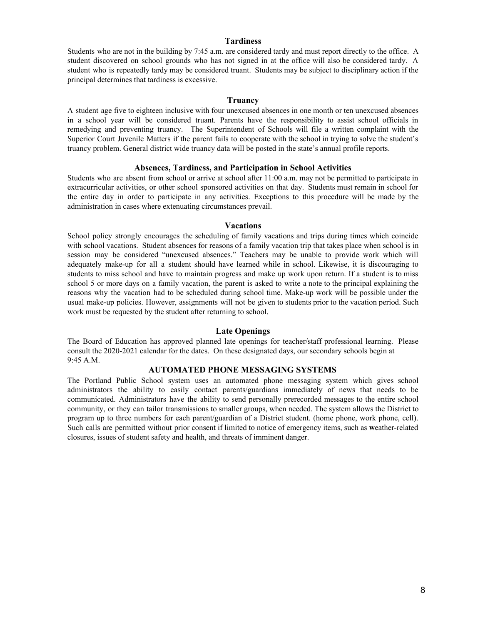#### **Tardiness**

Students who are not in the building by 7:45 a.m. are considered tardy and must report directly to the office. A student discovered on school grounds who has not signed in at the office will also be considered tardy. A student who is repeatedly tardy may be considered truant. Students may be subject to disciplinary action if the principal determines that tardiness is excessive.

#### **Truancy**

A student age five to eighteen inclusive with four unexcused absences in one month or ten unexcused absences in a school year will be considered truant. Parents have the responsibility to assist school officials in remedying and preventing truancy. The Superintendent of Schools will file a written complaint with the Superior Court Juvenile Matters if the parent fails to cooperate with the school in trying to solve the student's truancy problem. General district wide truancy data will be posted in the state's annual profile reports.

#### **Absences, Tardiness, and Participation in School Activities**

Students who are absent from school or arrive at school after 11:00 a.m. may not be permitted to participate in extracurricular activities, or other school sponsored activities on that day. Students must remain in school for the entire day in order to participate in any activities. Exceptions to this procedure will be made by the administration in cases where extenuating circumstances prevail.

#### **Vacations**

School policy strongly encourages the scheduling of family vacations and trips during times which coincide with school vacations. Student absences for reasons of a family vacation trip that takes place when school is in session may be considered "unexcused absences." Teachers may be unable to provide work which will adequately make-up for all a student should have learned while in school. Likewise, it is discouraging to students to miss school and have to maintain progress and make up work upon return. If a student is to miss school 5 or more days on a family vacation, the parent is asked to write a note to the principal explaining the reasons why the vacation had to be scheduled during school time. Make-up work will be possible under the usual make-up policies. However, assignments will not be given to students prior to the vacation period. Such work must be requested by the student after returning to school.

#### **Late Openings**

The Board of Education has approved planned late openings for teacher/staff professional learning. Please consult the 2020-2021 calendar for the dates. On these designated days, our secondary schools begin at 9:45 A.M.

#### **AUTOMATED PHONE MESSAGING SYSTEMS**

The Portland Public School system uses an automated phone messaging system which gives school administrators the ability to easily contact parents/guardians immediately of news that needs to be communicated. Administrators have the ability to send personally prerecorded messages to the entire school community, or they can tailor transmissions to smaller groups, when needed. The system allows the District to program up to three numbers for each parent/guardian of a District student. (home phone, work phone, cell). Such calls are permitted without prior consent if limited to notice of emergency items, such as **w**eather-related closures, issues of student safety and health, and threats of imminent danger.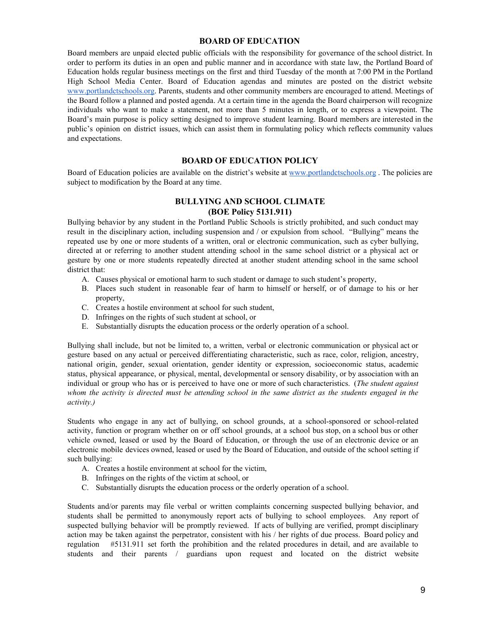### **BOARD OF EDUCATION**

Board members are unpaid elected public officials with the responsibility for governance of the school district. In order to perform its duties in an open and public manner and in accordance with state law, the Portland Board of Education holds regular business meetings on the first and third Tuesday of the month at 7:00 PM in the Portland High School Media Center. Board of Education agendas and minutes are posted on the district website [www.portlandctschools.org.](http://www.portlandctschools.org/) Parents, students and other community members are encouraged to attend. Meetings of the Board follow a planned and posted agenda. At a certain time in the agenda the Board chairperson will recognize individuals who want to make a statement, not more than 5 minutes in length, or to express a viewpoint. The Board's main purpose is policy setting designed to improve student learning. Board members are interested in the public's opinion on district issues, which can assist them in formulating policy which reflects community values and expectations.

### **BOARD OF EDUCATION POLICY**

Board of Education policies are available on the district's website at [www.portlandctschools.org](http://www.portlandctschools.org/) . The policies are subject to modification by the Board at any time.

### **BULLYING AND SCHOOL CLIMATE (BOE Policy 5131.911)**

Bullying behavior by any student in the Portland Public Schools is strictly prohibited, and such conduct may result in the disciplinary action, including suspension and / or expulsion from school. "Bullying" means the repeated use by one or more students of a written, oral or electronic communication, such as cyber bullying, directed at or referring to another student attending school in the same school district or a physical act or gesture by one or more students repeatedly directed at another student attending school in the same school district that:

- A. Causes physical or emotional harm to such student or damage to such student's property,
- B. Places such student in reasonable fear of harm to himself or herself, or of damage to his or her property,
- C. Creates a hostile environment at school for such student,
- D. Infringes on the rights of such student at school, or
- E. Substantially disrupts the education process or the orderly operation of a school.

Bullying shall include, but not be limited to, a written, verbal or electronic communication or physical act or gesture based on any actual or perceived differentiating characteristic, such as race, color, religion, ancestry, national origin, gender, sexual orientation, gender identity or expression, socioeconomic status, academic status, physical appearance, or physical, mental, developmental or sensory disability, or by association with an individual or group who has or is perceived to have one or more of such characteristics. (*The student against* whom the activity is directed must be attending school in the same district as the students engaged in the *activity.)*

Students who engage in any act of bullying, on school grounds, at a school-sponsored or school-related activity, function or program whether on or off school grounds, at a school bus stop, on a school bus or other vehicle owned, leased or used by the Board of Education, or through the use of an electronic device or an electronic mobile devices owned, leased or used by the Board of Education, and outside of the school setting if such bullying:

- A. Creates a hostile environment at school for the victim,
- B. Infringes on the rights of the victim at school, or
- C. Substantially disrupts the education process or the orderly operation of a school.

Students and/or parents may file verbal or written complaints concerning suspected bullying behavior, and students shall be permitted to anonymously report acts of bullying to school employees. Any report of suspected bullying behavior will be promptly reviewed. If acts of bullying are verified, prompt disciplinary action may be taken against the perpetrator, consistent with his / her rights of due process. Board policy and regulation #5131.911 set forth the prohibition and the related procedures in detail, and are available to students and their parents / guardians upon request and located on the district website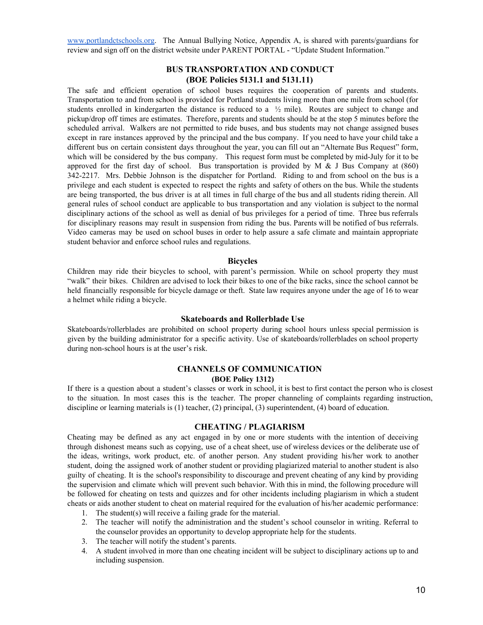[www.portlandctschools.org.](http://www.portlandctschools.org/) The Annual Bullying Notice, Appendix A, is shared with parents/guardians for review and sign off on the district website under PARENT PORTAL - "Update Student Information."

### **BUS TRANSPORTATION AND CONDUCT (BOE Policies 5131.1 and 5131.11)**

The safe and efficient operation of school buses requires the cooperation of parents and students. Transportation to and from school is provided for Portland students living more than one mile from school (for students enrolled in kindergarten the distance is reduced to a  $\frac{1}{2}$  mile). Routes are subject to change and pickup/drop off times are estimates. Therefore, parents and students should be at the stop 5 minutes before the scheduled arrival. Walkers are not permitted to ride buses, and bus students may not change assigned buses except in rare instances approved by the principal and the bus company. If you need to have your child take a different bus on certain consistent days throughout the year, you can fill out an "Alternate Bus Request" form, which will be considered by the bus company. This request form must be completed by mid-July for it to be approved for the first day of school. Bus transportation is provided by M  $\&$  J Bus Company at (860) 342-2217. Mrs. Debbie Johnson is the dispatcher for Portland. Riding to and from school on the bus is a privilege and each student is expected to respect the rights and safety of others on the bus. While the students are being transported, the bus driver is at all times in full charge of the bus and all students riding therein. All general rules of school conduct are applicable to bus transportation and any violation is subject to the normal disciplinary actions of the school as well as denial of bus privileges for a period of time. Three bus referrals for disciplinary reasons may result in suspension from riding the bus. Parents will be notified of bus referrals. Video cameras may be used on school buses in order to help assure a safe climate and maintain appropriate student behavior and enforce school rules and regulations.

#### **Bicycles**

Children may ride their bicycles to school, with parent's permission. While on school property they must "walk" their bikes. Children are advised to lock their bikes to one of the bike racks, since the school cannot be held financially responsible for bicycle damage or theft. State law requires anyone under the age of 16 to wear a helmet while riding a bicycle.

#### **Skateboards and Rollerblade Use**

Skateboards/rollerblades are prohibited on school property during school hours unless special permission is given by the building administrator for a specific activity. Use of skateboards/rollerblades on school property during non-school hours is at the user's risk.

#### **CHANNELS OF COMMUNICATION (BOE Policy 1312)**

If there is a question about a student's classes or work in school, it is best to first contact the person who is closest to the situation. In most cases this is the teacher. The proper channeling of complaints regarding instruction, discipline or learning materials is (1) teacher, (2) principal, (3) superintendent, (4) board of education.

#### **CHEATING / PLAGIARISM**

Cheating may be defined as any act engaged in by one or more students with the intention of deceiving through dishonest means such as copying, use of a cheat sheet, use of wireless devices or the deliberate use of the ideas, writings, work product, etc. of another person. Any student providing his/her work to another student, doing the assigned work of another student or providing plagiarized material to another student is also guilty of cheating. It is the school's responsibility to discourage and prevent cheating of any kind by providing the supervision and climate which will prevent such behavior. With this in mind, the following procedure will be followed for cheating on tests and quizzes and for other incidents including plagiarism in which a student cheats or aids another student to cheat on material required for the evaluation of his/her academic performance:

- 1. The student(s) will receive a failing grade for the material.
- 2. The teacher will notify the administration and the student's school counselor in writing. Referral to the counselor provides an opportunity to develop appropriate help for the students.
- 3. The teacher will notify the student's parents.
- 4. A student involved in more than one cheating incident will be subject to disciplinary actions up to and including suspension.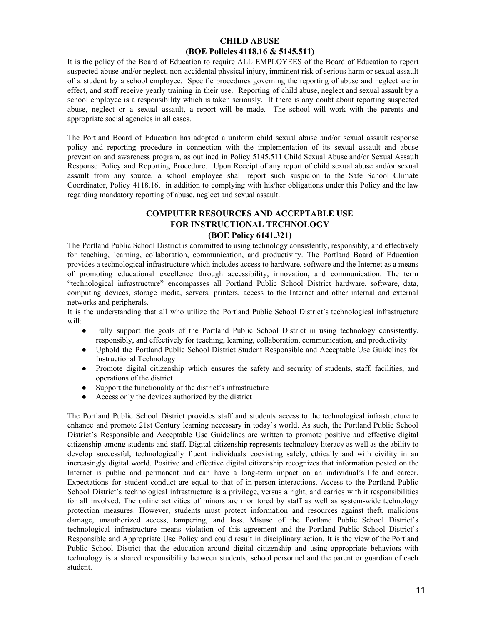### **CHILD ABUSE (BOE Policies 4118.16 & 5145.511)**

It is the policy of the Board of Education to require ALL EMPLOYEES of the Board of Education to report suspected abuse and/or neglect, non-accidental physical injury, imminent risk of serious harm or sexual assault of a student by a school employee. Specific procedures governing the reporting of abuse and neglect are in effect, and staff receive yearly training in their use. Reporting of child abuse, neglect and sexual assault by a school employee is a responsibility which is taken seriously. If there is any doubt about reporting suspected abuse, neglect or a sexual assault, a report will be made. The school will work with the parents and appropriate social agencies in all cases.

The Portland Board of Education has adopted a uniform child sexual abuse and/or sexual assault response policy and reporting procedure in connection with the implementation of its sexual assault and abuse prevention and awareness program, as outlined in Policy [5145.511](http://z2policy.cabe.org/cabe/DocViewer.jsp?docid=291&z2collection=portland#JD_5145.511) Child Sexual Abuse and/or Sexual Assault Response Policy and Reporting Procedure. Upon Receipt of any report of child sexual abuse and/or sexual assault from any source, a school employee shall report such suspicion to the Safe School Climate Coordinator, Policy 4118.16, in addition to complying with his/her obligations under this Policy and the law regarding mandatory reporting of abuse, neglect and sexual assault.

### **COMPUTER RESOURCES AND ACCEPTABLE USE FOR INSTRUCTIONAL TECHNOLOGY (BOE Policy 6141.321)**

The Portland Public School District is committed to using technology consistently, responsibly, and effectively for teaching, learning, collaboration, communication, and productivity. The Portland Board of Education provides a technological infrastructure which includes access to hardware, software and the Internet as a means of promoting educational excellence through accessibility, innovation, and communication. The term "technological infrastructure" encompasses all Portland Public School District hardware, software, data, computing devices, storage media, servers, printers, access to the Internet and other internal and external networks and peripherals.

It is the understanding that all who utilize the Portland Public School District's technological infrastructure will:

- Fully support the goals of the Portland Public School District in using technology consistently, responsibly, and effectively for teaching, learning, collaboration, communication, and productivity
- Uphold the Portland Public School District Student Responsible and Acceptable Use Guidelines for Instructional Technology
- Promote digital citizenship which ensures the safety and security of students, staff, facilities, and operations of the district
- Support the functionality of the district's infrastructure
- Access only the devices authorized by the district

The Portland Public School District provides staff and students access to the technological infrastructure to enhance and promote 21st Century learning necessary in today's world. As such, the Portland Public School District's Responsible and Acceptable Use Guidelines are written to promote positive and effective digital citizenship among students and staff. Digital citizenship represents technology literacy as well as the ability to develop successful, technologically fluent individuals coexisting safely, ethically and with civility in an increasingly digital world. Positive and effective digital citizenship recognizes that information posted on the Internet is public and permanent and can have a long-term impact on an individual's life and career. Expectations for student conduct are equal to that of in-person interactions. Access to the Portland Public School District's technological infrastructure is a privilege, versus a right, and carries with it responsibilities for all involved. The online activities of minors are monitored by staff as well as system-wide technology protection measures. However, students must protect information and resources against theft, malicious damage, unauthorized access, tampering, and loss. Misuse of the Portland Public School District's technological infrastructure means violation of this agreement and the Portland Public School District's Responsible and Appropriate Use Policy and could result in disciplinary action. It is the view of the Portland Public School District that the education around digital citizenship and using appropriate behaviors with technology is a shared responsibility between students, school personnel and the parent or guardian of each student.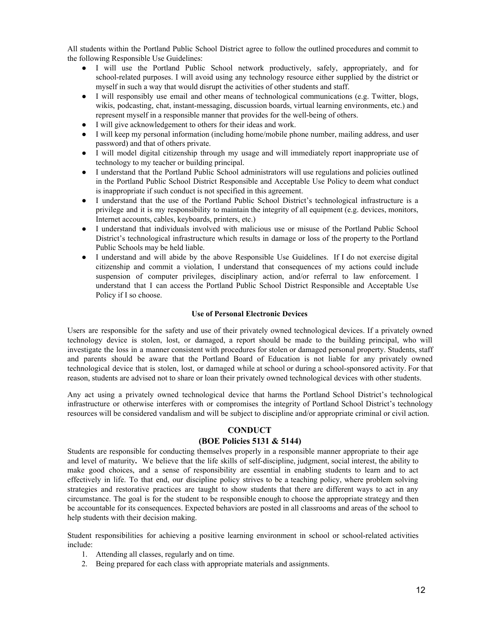All students within the Portland Public School District agree to follow the outlined procedures and commit to the following Responsible Use Guidelines:

- I will use the Portland Public School network productively, safely, appropriately, and for school-related purposes. I will avoid using any technology resource either supplied by the district or myself in such a way that would disrupt the activities of other students and staff.
- I will responsibly use email and other means of technological communications (e.g. Twitter, blogs, wikis, podcasting, chat, instant-messaging, discussion boards, virtual learning environments, etc.) and represent myself in a responsible manner that provides for the well-being of others.
- I will give acknowledgement to others for their ideas and work.
- I will keep my personal information (including home/mobile phone number, mailing address, and user password) and that of others private.
- I will model digital citizenship through my usage and will immediately report inappropriate use of technology to my teacher or building principal.
- I understand that the Portland Public School administrators will use regulations and policies outlined in the Portland Public School District Responsible and Acceptable Use Policy to deem what conduct is inappropriate if such conduct is not specified in this agreement.
- I understand that the use of the Portland Public School District's technological infrastructure is a privilege and it is my responsibility to maintain the integrity of all equipment (e.g. devices, monitors, Internet accounts, cables, keyboards, printers, etc.)
- I understand that individuals involved with malicious use or misuse of the Portland Public School District's technological infrastructure which results in damage or loss of the property to the Portland Public Schools may be held liable.
- I understand and will abide by the above Responsible Use Guidelines. If I do not exercise digital citizenship and commit a violation, I understand that consequences of my actions could include suspension of computer privileges, disciplinary action, and/or referral to law enforcement. I understand that I can access the Portland Public School District Responsible and Acceptable Use Policy if I so choose.

#### **Use of Personal Electronic Devices**

Users are responsible for the safety and use of their privately owned technological devices. If a privately owned technology device is stolen, lost, or damaged, a report should be made to the building principal, who will investigate the loss in a manner consistent with procedures for stolen or damaged personal property. Students, staff and parents should be aware that the Portland Board of Education is not liable for any privately owned technological device that is stolen, lost, or damaged while at school or during a school-sponsored activity. For that reason, students are advised not to share or loan their privately owned technological devices with other students.

Any act using a privately owned technological device that harms the Portland School District's technological infrastructure or otherwise interferes with or compromises the integrity of Portland School District's technology resources will be considered vandalism and will be subject to discipline and/or appropriate criminal or civil action.

### **CONDUCT**

#### **(BOE Policies 5131 & 5144)**

Students are responsible for conducting themselves properly in a responsible manner appropriate to their age and level of maturity**.** We believe that the life skills of self-discipline, judgment, social interest, the ability to make good choices, and a sense of responsibility are essential in enabling students to learn and to act effectively in life. To that end, our discipline policy strives to be a teaching policy, where problem solving strategies and restorative practices are taught to show students that there are different ways to act in any circumstance. The goal is for the student to be responsible enough to choose the appropriate strategy and then be accountable for its consequences. Expected behaviors are posted in all classrooms and areas of the school to help students with their decision making.

Student responsibilities for achieving a positive learning environment in school or school-related activities include:

- 1. Attending all classes, regularly and on time.
- 2. Being prepared for each class with appropriate materials and assignments.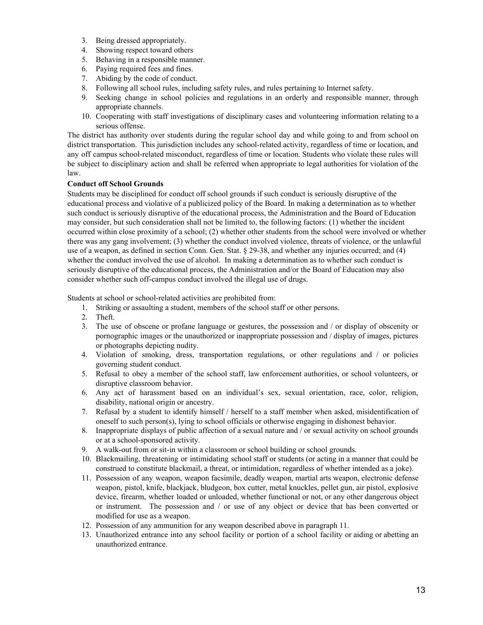- 3. Being dressed appropriately.
- 4. Showing respect toward others
- 5. Behaving in a responsible manner.
- 6. Paying required fees and fines.
- 7. Abiding by the code of conduct.
- 8. Following all school rules, including safety rules, and rules pertaining to Internet safety.
- 9. Seeking change in school policies and regulations in an orderly and responsible manner, through appropriate channels.
- 10. Cooperating with staff investigations of disciplinary cases and volunteering information relating to a serious offense.

The district has authority over students during the regular school day and while going to and from school on district transportation. This jurisdiction includes any school-related activity, regardless of time or location, and any off campus school-related misconduct, regardless of time or location. Students who violate these rules will be subject to disciplinary action and shall be referred when appropriate to legal authorities for violation of the law.

#### **Conduct off School Grounds**

Students may be disciplined for conduct off school grounds if such conduct is seriously disruptive of the educational process and violative of a publicized policy of the Board. In making a determination as to whether such conduct is seriously disruptive of the educational process, the Administration and the Board of Education may consider, but such consideration shall not be limited to, the following factors: (1) whether the incident occurred within close proximity of a school; (2) whether other students from the school were involved or whether there was any gang involvement; (3) whether the conduct involved violence, threats of violence, or the unlawful use of a weapon, as defined in section Conn. Gen. Stat. § 29-38, and whether any injuries occurred; and (4) whether the conduct involved the use of alcohol. In making a determination as to whether such conduct is seriously disruptive of the educational process, the Administration and/or the Board of Education may also consider whether such off-campus conduct involved the illegal use of drugs.

Students at school or school-related activities are prohibited from:

- 1. Striking or assaulting a student, members of the school staff or other persons.
- 2. Theft.
- 3. The use of obscene or profane language or gestures, the possession and / or display of obscenity or pornographic images or the unauthorized or inappropriate possession and / display of images, pictures or photographs depicting nudity.
- 4. Violation of smoking, dress, transportation regulations, or other regulations and / or policies governing student conduct.
- 5. Refusal to obey a member of the school staff, law enforcement authorities, or school volunteers, or disruptive classroom behavior.
- 6. Any act of harassment based on an individual's sex, sexual orientation, race, color, religion, disability, national origin or ancestry.
- 7. Refusal by a student to identify himself / herself to a staff member when asked, misidentification of oneself to such person(s), lying to school officials or otherwise engaging in dishonest behavior.
- 8. Inappropriate displays of public affection of a sexual nature and / or sexual activity on school grounds or at a school-sponsored activity.
- 9. A walk-out from or sit-in within a classroom or school building or school grounds.
- 10. Blackmailing, threatening or intimidating school staff or students (or acting in a manner that could be construed to constitute blackmail, a threat, or intimidation, regardless of whether intended as a joke).
- 11. Possession of any weapon, weapon facsimile, deadly weapon, martial arts weapon, electronic defense weapon, pistol, knife, blackjack, bludgeon, box cutter, metal knuckles, pellet gun, air pistol, explosive device, firearm, whether loaded or unloaded, whether functional or not, or any other dangerous object or instrument. The possession and / or use of any object or device that has been converted or modified for use as a weapon.
- 12. Possession of any ammunition for any weapon described above in paragraph 11.
- 13. Unauthorized entrance into any school facility or portion of a school facility or aiding or abetting an unauthorized entrance.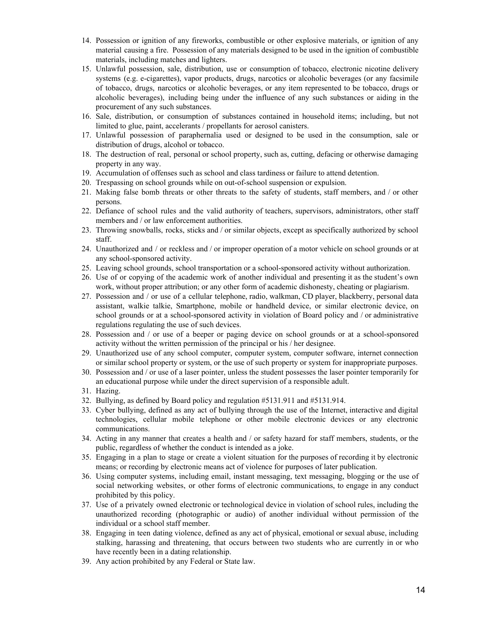- 14. Possession or ignition of any fireworks, combustible or other explosive materials, or ignition of any material causing a fire. Possession of any materials designed to be used in the ignition of combustible materials, including matches and lighters.
- 15. Unlawful possession, sale, distribution, use or consumption of tobacco, electronic nicotine delivery systems (e.g. e-cigarettes), vapor products, drugs, narcotics or alcoholic beverages (or any facsimile of tobacco, drugs, narcotics or alcoholic beverages, or any item represented to be tobacco, drugs or alcoholic beverages), including being under the influence of any such substances or aiding in the procurement of any such substances.
- 16. Sale, distribution, or consumption of substances contained in household items; including, but not limited to glue, paint, accelerants / propellants for aerosol canisters.
- 17. Unlawful possession of paraphernalia used or designed to be used in the consumption, sale or distribution of drugs, alcohol or tobacco.
- 18. The destruction of real, personal or school property, such as, cutting, defacing or otherwise damaging property in any way.
- 19. Accumulation of offenses such as school and class tardiness or failure to attend detention.
- 20. Trespassing on school grounds while on out-of-school suspension or expulsion.
- 21. Making false bomb threats or other threats to the safety of students, staff members, and / or other persons.
- 22. Defiance of school rules and the valid authority of teachers, supervisors, administrators, other staff members and / or law enforcement authorities.
- 23. Throwing snowballs, rocks, sticks and / or similar objects, except as specifically authorized by school staff.
- 24. Unauthorized and / or reckless and / or improper operation of a motor vehicle on school grounds or at any school-sponsored activity.
- 25. Leaving school grounds, school transportation or a school-sponsored activity without authorization.
- 26. Use of or copying of the academic work of another individual and presenting it as the student's own work, without proper attribution; or any other form of academic dishonesty, cheating or plagiarism.
- 27. Possession and / or use of a cellular telephone, radio, walkman, CD player, blackberry, personal data assistant, walkie talkie, Smartphone, mobile or handheld device, or similar electronic device, on school grounds or at a school-sponsored activity in violation of Board policy and / or administrative regulations regulating the use of such devices.
- 28. Possession and / or use of a beeper or paging device on school grounds or at a school-sponsored activity without the written permission of the principal or his / her designee.
- 29. Unauthorized use of any school computer, computer system, computer software, internet connection or similar school property or system, or the use of such property or system for inappropriate purposes.
- 30. Possession and / or use of a laser pointer, unless the student possesses the laser pointer temporarily for an educational purpose while under the direct supervision of a responsible adult.
- 31. Hazing.
- 32. Bullying, as defined by Board policy and regulation #5131.911 and #5131.914.
- 33. Cyber bullying, defined as any act of bullying through the use of the Internet, interactive and digital technologies, cellular mobile telephone or other mobile electronic devices or any electronic communications.
- 34. Acting in any manner that creates a health and / or safety hazard for staff members, students, or the public, regardless of whether the conduct is intended as a joke.
- 35. Engaging in a plan to stage or create a violent situation for the purposes of recording it by electronic means; or recording by electronic means act of violence for purposes of later publication.
- 36. Using computer systems, including email, instant messaging, text messaging, blogging or the use of social networking websites, or other forms of electronic communications, to engage in any conduct prohibited by this policy.
- 37. Use of a privately owned electronic or technological device in violation of school rules, including the unauthorized recording (photographic or audio) of another individual without permission of the individual or a school staff member.
- 38. Engaging in teen dating violence, defined as any act of physical, emotional or sexual abuse, including stalking, harassing and threatening, that occurs between two students who are currently in or who have recently been in a dating relationship.
- 39. Any action prohibited by any Federal or State law.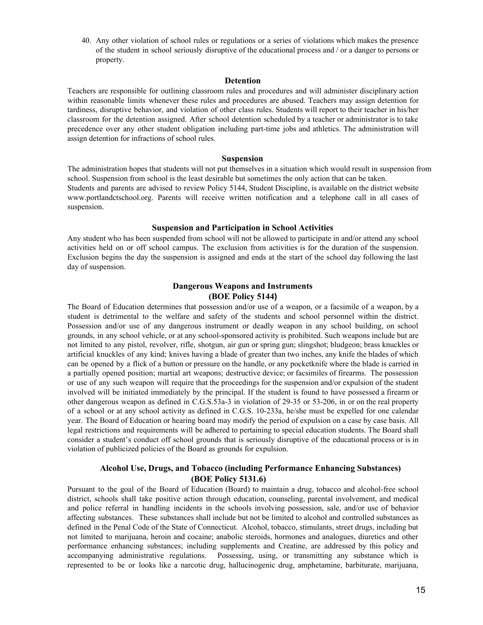40. Any other violation of school rules or regulations or a series of violations which makes the presence of the student in school seriously disruptive of the educational process and / or a danger to persons or property.

#### **Detention**

Teachers are responsible for outlining classroom rules and procedures and will administer disciplinary action within reasonable limits whenever these rules and procedures are abused. Teachers may assign detention for tardiness, disruptive behavior, and violation of other class rules. Students will report to their teacher in his/her classroom for the detention assigned. After school detention scheduled by a teacher or administrator is to take precedence over any other student obligation including part-time jobs and athletics. The administration will assign detention for infractions of school rules.

#### **Suspension**

The administration hopes that students will not put themselves in a situation which would result in suspension from school. Suspension from school is the least desirable but sometimes the only action that can be taken. Students and parents are advised to review Policy 5144, Student Discipline, is available on the district website www.portlandctschool.org. Parents will receive written notification and a telephone call in all cases of suspension.

#### **Suspension and Participation in School Activities**

Any student who has been suspended from school will not be allowed to participate in and/or attend any school activities held on or off school campus. The exclusion from activities is for the duration of the suspension. Exclusion begins the day the suspension is assigned and ends at the start of the school day following the last day of suspension.

### **Dangerous Weapons and Instruments (BOE Policy 5144)**

The Board of Education determines that possession and/or use of a weapon, or a facsimile of a weapon, by a student is detrimental to the welfare and safety of the students and school personnel within the district. Possession and/or use of any dangerous instrument or deadly weapon in any school building, on school grounds, in any school vehicle, or at any school-sponsored activity is prohibited. Such weapons include but are not limited to any pistol, revolver, rifle, shotgun, air gun or spring gun; slingshot; bludgeon; brass knuckles or artificial knuckles of any kind; knives having a blade of greater than two inches, any knife the blades of which can be opened by a flick of a button or pressure on the handle, or any pocketknife where the blade is carried in a partially opened position; martial art weapons; destructive device; or facsimiles of firearms. The possession or use of any such weapon will require that the proceedings for the suspension and/or expulsion of the student involved will be initiated immediately by the principal. If the student is found to have possessed a firearm or other dangerous weapon as defined in C.G.S.53a-3 in violation of 29-35 or 53-206, in or on the real property of a school or at any school activity as defined in C.G.S. 10-233a, he/she must be expelled for one calendar year. The Board of Education or hearing board may modify the period of expulsion on a case by case basis. All legal restrictions and requirements will be adhered to pertaining to special education students. The Board shall consider a student's conduct off school grounds that is seriously disruptive of the educational process or is in violation of publicized policies of the Board as grounds for expulsion.

### **Alcohol Use, Drugs, and Tobacco (including Performance Enhancing Substances) (BOE Policy 5131.6)**

Pursuant to the goal of the Board of Education (Board) to maintain a drug, tobacco and alcohol-free school district, schools shall take positive action through education, counseling, parental involvement, and medical and police referral in handling incidents in the schools involving possession, sale, and/or use of behavior affecting substances. These substances shall include but not be limited to alcohol and controlled substances as defined in the Penal Code of the State of Connecticut. Alcohol, tobacco, stimulants, street drugs, including but not limited to marijuana, heroin and cocaine; anabolic steroids, hormones and analogues, diuretics and other performance enhancing substances; including supplements and Creatine, are addressed by this policy and accompanying administrative regulations. Possessing, using, or transmitting any substance which is represented to be or looks like a narcotic drug, hallucinogenic drug, amphetamine, barbiturate, marijuana,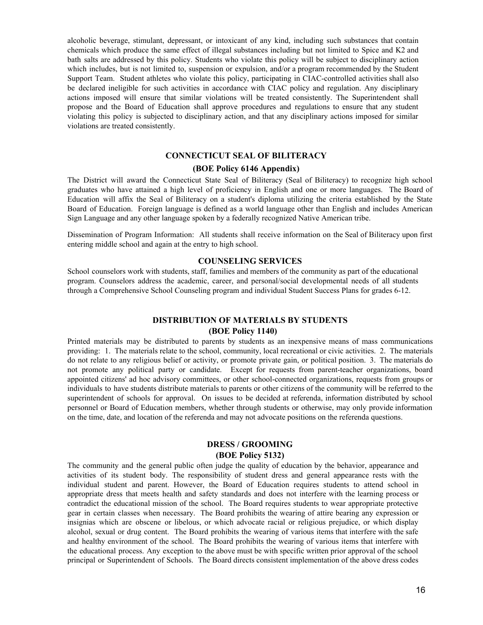alcoholic beverage, stimulant, depressant, or intoxicant of any kind, including such substances that contain chemicals which produce the same effect of illegal substances including but not limited to Spice and K2 and bath salts are addressed by this policy. Students who violate this policy will be subject to disciplinary action which includes, but is not limited to, suspension or expulsion, and/or a program recommended by the Student Support Team. Student athletes who violate this policy, participating in CIAC-controlled activities shall also be declared ineligible for such activities in accordance with CIAC policy and regulation. Any disciplinary actions imposed will ensure that similar violations will be treated consistently. The Superintendent shall propose and the Board of Education shall approve procedures and regulations to ensure that any student violating this policy is subjected to disciplinary action, and that any disciplinary actions imposed for similar violations are treated consistently.

### **CONNECTICUT SEAL OF BILITERACY**

#### **(BOE Policy 6146 Appendix)**

The District will award the Connecticut State Seal of Biliteracy (Seal of Biliteracy) to recognize high school graduates who have attained a high level of proficiency in English and one or more languages. The Board of Education will affix the Seal of Biliteracy on a student's diploma utilizing the criteria established by the State Board of Education. Foreign language is defined as a world language other than English and includes American Sign Language and any other language spoken by a federally recognized Native American tribe.

Dissemination of Program Information: All students shall receive information on the Seal of Biliteracy upon first entering middle school and again at the entry to high school.

### **COUNSELING SERVICES**

School counselors work with students, staff, families and members of the community as part of the educational program. Counselors address the academic, career, and personal/social developmental needs of all students through a Comprehensive School Counseling program and individual Student Success Plans for grades 6-12.

### **DISTRIBUTION OF MATERIALS BY STUDENTS (BOE Policy 1140)**

Printed materials may be distributed to parents by students as an inexpensive means of mass communications providing: 1. The materials relate to the school, community, local recreational or civic activities. 2. The materials do not relate to any religious belief or activity, or promote private gain, or political position. 3. The materials do not promote any political party or candidate. Except for requests from parent-teacher organizations, board appointed citizens' ad hoc advisory committees, or other school-connected organizations, requests from groups or individuals to have students distribute materials to parents or other citizens of the community will be referred to the superintendent of schools for approval. On issues to be decided at referenda, information distributed by school personnel or Board of Education members, whether through students or otherwise, may only provide information on the time, date, and location of the referenda and may not advocate positions on the referenda questions.

### **DRESS / GROOMING (BOE Policy 5132)**

The community and the general public often judge the quality of education by the behavior, appearance and activities of its student body. The responsibility of student dress and general appearance rests with the individual student and parent. However, the Board of Education requires students to attend school in appropriate dress that meets health and safety standards and does not interfere with the learning process or contradict the educational mission of the school. The Board requires students to wear appropriate protective gear in certain classes when necessary. The Board prohibits the wearing of attire bearing any expression or insignias which are obscene or libelous, or which advocate racial or religious prejudice, or which display alcohol, sexual or drug content. The Board prohibits the wearing of various items that interfere with the safe and healthy environment of the school. The Board prohibits the wearing of various items that interfere with the educational process. Any exception to the above must be with specific written prior approval of the school principal or Superintendent of Schools. The Board directs consistent implementation of the above dress codes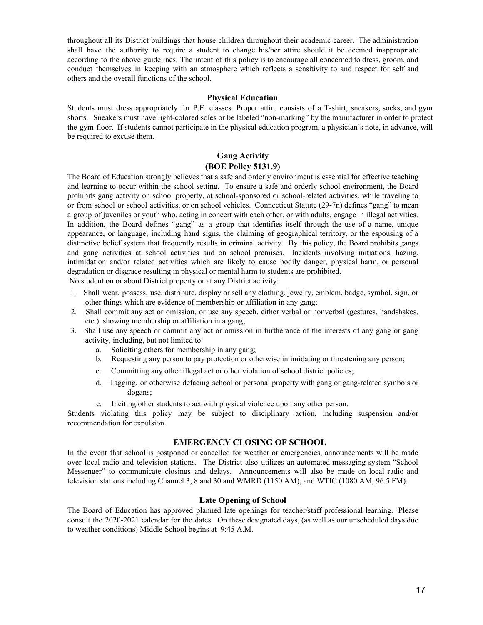throughout all its District buildings that house children throughout their academic career. The administration shall have the authority to require a student to change his/her attire should it be deemed inappropriate according to the above guidelines. The intent of this policy is to encourage all concerned to dress, groom, and conduct themselves in keeping with an atmosphere which reflects a sensitivity to and respect for self and others and the overall functions of the school.

#### **Physical Education**

Students must dress appropriately for P.E. classes. Proper attire consists of a T-shirt, sneakers, socks, and gym shorts. Sneakers must have light-colored soles or be labeled "non-marking" by the manufacturer in order to protect the gym floor. If students cannot participate in the physical education program, a physician's note, in advance, will be required to excuse them.

### **Gang Activity (BOE Policy 5131.9)**

The Board of Education strongly believes that a safe and orderly environment is essential for effective teaching and learning to occur within the school setting. To ensure a safe and orderly school environment, the Board prohibits gang activity on school property, at school-sponsored or school-related activities, while traveling to or from school or school activities, or on school vehicles. Connecticut Statute (29-7n) defines "gang" to mean a group of juveniles or youth who, acting in concert with each other, or with adults, engage in illegal activities. In addition, the Board defines "gang" as a group that identifies itself through the use of a name, unique appearance, or language, including hand signs, the claiming of geographical territory, or the espousing of a distinctive belief system that frequently results in criminal activity. By this policy, the Board prohibits gangs and gang activities at school activities and on school premises. Incidents involving initiations, hazing, intimidation and/or related activities which are likely to cause bodily danger, physical harm, or personal degradation or disgrace resulting in physical or mental harm to students are prohibited. No student on or about District property or at any District activity:

1. Shall wear, possess, use, distribute, display or sell any clothing, jewelry, emblem, badge, symbol, sign, or other things which are evidence of membership or affiliation in any gang;

- 2. Shall commit any act or omission, or use any speech, either verbal or nonverbal (gestures, handshakes, etc.) showing membership or affiliation in a gang;
- 3. Shall use any speech or commit any act or omission in furtherance of the interests of any gang or gang activity, including, but not limited to:
	- a. Soliciting others for membership in any gang;
	- b. Requesting any person to pay protection or otherwise intimidating or threatening any person;
	- c. Committing any other illegal act or other violation of school district policies;
	- d. Tagging, or otherwise defacing school or personal property with gang or gang-related symbols or slogans;
	- e. Inciting other students to act with physical violence upon any other person.

Students violating this policy may be subject to disciplinary action, including suspension and/or recommendation for expulsion.

### **EMERGENCY CLOSING OF SCHOOL**

In the event that school is postponed or cancelled for weather or emergencies, announcements will be made over local radio and television stations. The District also utilizes an automated messaging system "School Messenger" to communicate closings and delays. Announcements will also be made on local radio and television stations including Channel 3, 8 and 30 and WMRD (1150 AM), and WTIC (1080 AM, 96.5 FM).

#### **Late Opening of School**

The Board of Education has approved planned late openings for teacher/staff professional learning. Please consult the 2020-2021 calendar for the dates. On these designated days, (as well as our unscheduled days due to weather conditions) Middle School begins at 9:45 A.M.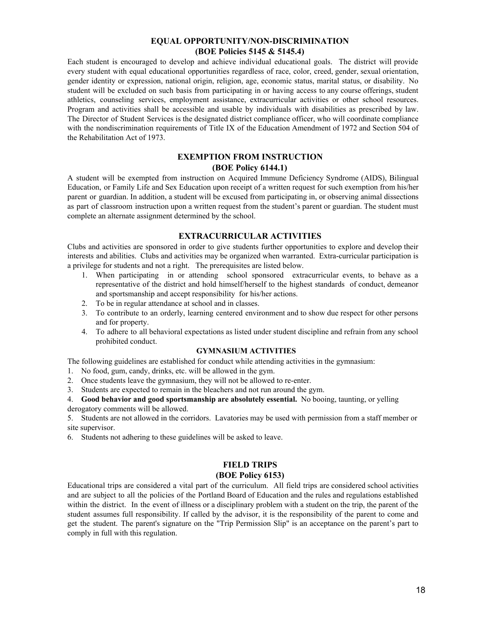### **EQUAL OPPORTUNITY/NON-DISCRIMINATION (BOE Policies 5145 & 5145.4)**

Each student is encouraged to develop and achieve individual educational goals. The district will provide every student with equal educational opportunities regardless of race, color, creed, gender, sexual orientation, gender identity or expression, national origin, religion, age, economic status, marital status, or disability. No student will be excluded on such basis from participating in or having access to any course offerings, student athletics, counseling services, employment assistance, extracurricular activities or other school resources. Program and activities shall be accessible and usable by individuals with disabilities as prescribed by law. The Director of Student Services is the designated district compliance officer, who will coordinate compliance with the nondiscrimination requirements of Title IX of the Education Amendment of 1972 and Section 504 of the Rehabilitation Act of 1973.

### **EXEMPTION FROM INSTRUCTION (BOE Policy 6144.1)**

A student will be exempted from instruction on Acquired Immune Deficiency Syndrome (AIDS), Bilingual Education, or Family Life and Sex Education upon receipt of a written request for such exemption from his/her parent or guardian. In addition, a student will be excused from participating in, or observing animal dissections as part of classroom instruction upon a written request from the student's parent or guardian. The student must complete an alternate assignment determined by the school.

### **EXTRACURRICULAR ACTIVITIES**

Clubs and activities are sponsored in order to give students further opportunities to explore and develop their interests and abilities. Clubs and activities may be organized when warranted. Extra-curricular participation is a privilege for students and not a right. The prerequisites are listed below.

- When participating in or attending school sponsored extracurricular events, to behave as a representative of the district and hold himself/herself to the highest standards of conduct, demeanor and sportsmanship and accept responsibility for his/her actions.
- 2. To be in regular attendance at school and in classes.
- 3. To contribute to an orderly, learning centered environment and to show due respect for other persons and for property.
- 4. To adhere to all behavioral expectations as listed under student discipline and refrain from any school prohibited conduct.

#### **GYMNASIUM ACTIVITIES**

The following guidelines are established for conduct while attending activities in the gymnasium:

- 1. No food, gum, candy, drinks, etc. will be allowed in the gym.
- 2. Once students leave the gymnasium, they will not be allowed to re-enter.
- 3. Students are expected to remain in the bleachers and not run around the gym.
- 4. **Good behavior and good sportsmanship are absolutely essential.** No booing, taunting, or yelling derogatory comments will be allowed.

5. Students are not allowed in the corridors. Lavatories may be used with permission from a staff member or site supervisor.

6. Students not adhering to these guidelines will be asked to leave.

### **FIELD TRIPS**

#### **(BOE Policy 6153)**

Educational trips are considered a vital part of the curriculum. All field trips are considered school activities and are subject to all the policies of the Portland Board of Education and the rules and regulations established within the district. In the event of illness or a disciplinary problem with a student on the trip, the parent of the student assumes full responsibility. If called by the advisor, it is the responsibility of the parent to come and get the student. The parent's signature on the "Trip Permission Slip" is an acceptance on the parent's part to comply in full with this regulation.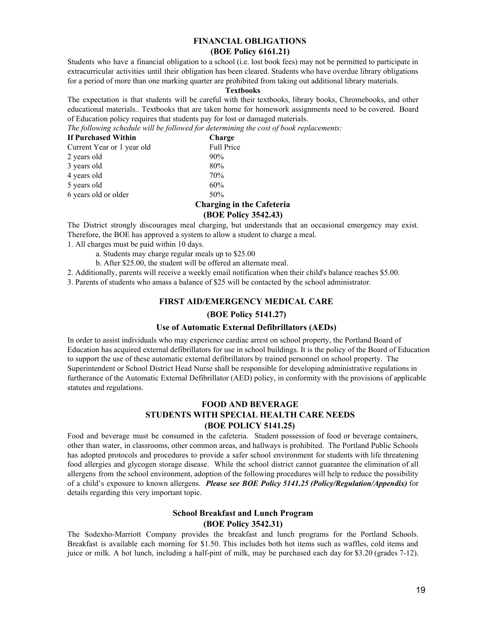### **FINANCIAL OBLIGATIONS (BOE Policy 6161.21)**

Students who have a financial obligation to a school (i.e. lost book fees) may not be permitted to participate in extracurricular activities until their obligation has been cleared. Students who have overdue library obligations for a period of more than one marking quarter are prohibited from taking out additional library materials.

#### **Textbooks**

The expectation is that students will be careful with their textbooks, library books, Chromebooks, and other educational materials.. Textbooks that are taken home for homework assignments need to be covered. Board of Education policy requires that students pay for lost or damaged materials.

*The following schedule will be followed for determining the cost of book replacements:*

| If Purchased Within        | Charge                   |
|----------------------------|--------------------------|
| Current Year or 1 year old | Full Price               |
| 2 years old                | 90%                      |
| 3 years old                | 80%                      |
| 4 years old                | 70%                      |
| 5 years old                | 60%                      |
| 6 years old or older       | 50%                      |
|                            | $\alpha$ kamatu a tu dha |

#### **Charging in the Cafeteria (BOE Policy 3542.43)**

The District strongly discourages meal charging, but understands that an occasional emergency may exist. Therefore, the BOE has approved a system to allow a student to charge a meal.

1. All charges must be paid within 10 days.

- a. Students may charge regular meals up to \$25.00
- b. After \$25.00, the student will be offered an alternate meal.

2. Additionally, parents will receive a weekly email notification when their child's balance reaches \$5.00.

3. Parents of students who amass a balance of \$25 will be contacted by the school administrator.

### **FIRST AID/EMERGENCY MEDICAL CARE**

#### **(BOE Policy 5141.27)**

#### **Use of Automatic External Defibrillators (AEDs)**

In order to assist individuals who may experience cardiac arrest on school property, the Portland Board of Education has acquired external defibrillators for use in school buildings. It is the policy of the Board of Education to support the use of these automatic external defibrillators by trained personnel on school property. The Superintendent or School District Head Nurse shall be responsible for developing administrative regulations in furtherance of the Automatic External Defibrillator (AED) policy, in conformity with the provisions of applicable statutes and regulations.

### **FOOD AND BEVERAGE STUDENTS WITH SPECIAL HEALTH CARE NEEDS (BOE POLICY 5141.25)**

Food and beverage must be consumed in the cafeteria. Student possession of food or beverage containers, other than water, in classrooms, other common areas, and hallways is prohibited. The Portland Public Schools has adopted protocols and procedures to provide a safer school environment for students with life threatening food allergies and glycogen storage disease. While the school district cannot guarantee the elimination of all allergens from the school environment, adoption of the following procedures will help to reduce the possibility of a child's exposure to known allergens. *Please see BOE Policy 5141.25 (Policy/Regulation/Appendix)* for details regarding this very important topic.

### **School Breakfast and Lunch Program (BOE Policy 3542.31)**

The Sodexho-Marriott Company provides the breakfast and lunch programs for the Portland Schools. Breakfast is available each morning for \$1.50. This includes both hot items such as waffles, cold items and juice or milk. A hot lunch, including a half-pint of milk, may be purchased each day for \$3.20 (grades 7-12).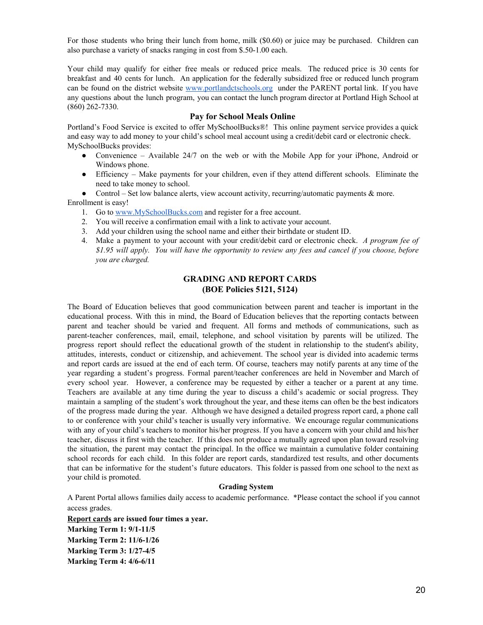For those students who bring their lunch from home, milk (\$0.60) or juice may be purchased. Children can also purchase a variety of snacks ranging in cost from \$.50-1.00 each.

Your child may qualify for either free meals or reduced price meals. The reduced price is 30 cents for breakfast and 40 cents for lunch. An application for the federally subsidized free or reduced lunch program can be found on the district website [www.portlandctschools.org](http://www.portlandctschools.org/) under the PARENT portal link. If you have any questions about the lunch program, you can contact the lunch program director at Portland High School at (860) 262-7330.

#### **Pay for School Meals Online**

Portland's Food Service is excited to offer MySchoolBucks®! This online payment service provides a quick and easy way to add money to your child's school meal account using a credit/debit card or electronic check. MySchoolBucks provides:

- Convenience Available 24/7 on the web or with the Mobile App for your iPhone, Android or Windows phone.
- Efficiency Make payments for your children, even if they attend different schools. Eliminate the need to take money to school.

• Control – Set low balance alerts, view account activity, recurring/automatic payments  $\&$  more. Enrollment is easy!

- 1. Go to [www.MySchoolBucks.com](http://www.myschoolbucks.com/) and register for a free account.
- 2. You will receive a confirmation email with a link to activate your account.
- 3. Add your children using the school name and either their birthdate or student ID.
- 4. Make a payment to your account with your credit/debit card or electronic check. *A program fee of* \$1.95 will apply. You will have the opportunity to review any fees and cancel if you choose, before *you are charged.*

### **GRADING AND REPORT CARDS (BOE Policies 5121, 5124)**

The Board of Education believes that good communication between parent and teacher is important in the educational process. With this in mind, the Board of Education believes that the reporting contacts between parent and teacher should be varied and frequent. All forms and methods of communications, such as parent-teacher conferences, mail, email, telephone, and school visitation by parents will be utilized. The progress report should reflect the educational growth of the student in relationship to the student's ability, attitudes, interests, conduct or citizenship, and achievement. The school year is divided into academic terms and report cards are issued at the end of each term. Of course, teachers may notify parents at any time of the year regarding a student's progress. Formal parent/teacher conferences are held in November and March of every school year. However, a conference may be requested by either a teacher or a parent at any time. Teachers are available at any time during the year to discuss a child's academic or social progress. They maintain a sampling of the student's work throughout the year, and these items can often be the best indicators of the progress made during the year. Although we have designed a detailed progress report card, a phone call to or conference with your child's teacher is usually very informative. We encourage regular communications with any of your child's teachers to monitor his/her progress. If you have a concern with your child and his/her teacher, discuss it first with the teacher. If this does not produce a mutually agreed upon plan toward resolving the situation, the parent may contact the principal. In the office we maintain a cumulative folder containing school records for each child. In this folder are report cards, standardized test results, and other documents that can be informative for the student's future educators. This folder is passed from one school to the next as your child is promoted.

#### **Grading System**

A Parent Portal allows families daily access to academic performance. \*Please contact the school if you cannot access grades.

**Report cards are issued four times a year. Marking Term 1: 9/1-11/5 Marking Term 2: 11/6-1/26 Marking Term 3: 1/27-4/5 Marking Term 4: 4/6-6/11**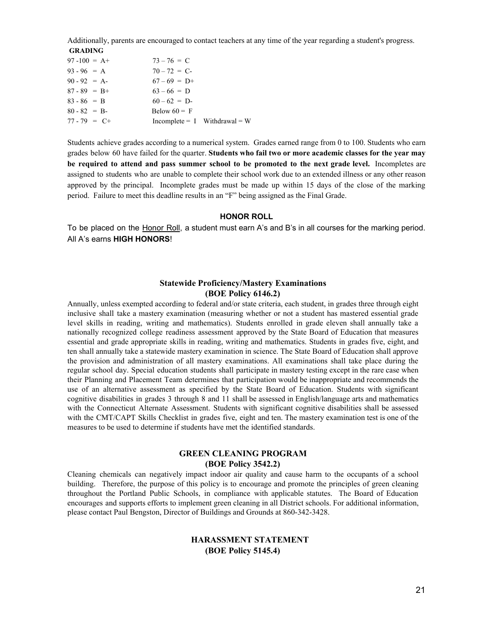Additionally, parents are encouraged to contact teachers at any time of the year regarding a student's progress.  **GRADING**

| $97 - 100 = A +$ | $73 - 76 = C$                     |
|------------------|-----------------------------------|
| $93 - 96 = A$    | $70 - 72 = C$                     |
| $90 - 92 = A$    | $67-69 = D+$                      |
| $87 - 89 = B +$  | $63 - 66 = D$                     |
| $83 - 86 = B$    | $60 - 62 = D$                     |
| $80 - 82 = B$    | Below $60 = F$                    |
| $77 - 79 = C +$  | $Incomplete = I \tWithdrawal = W$ |

Students achieve grades according to a numerical system. Grades earned range from 0 to 100. Students who earn grades below 60 have failed for the quarter. **Students who fail two or more academic classes for the year may be required to attend and pass summer school to be promoted to the next grade level.** Incompletes are assigned to students who are unable to complete their school work due to an extended illness or any other reason approved by the principal. Incomplete grades must be made up within 15 days of the close of the marking period. Failure to meet this deadline results in an "F" being assigned as the Final Grade.

#### **HONOR ROLL**

To be placed on the Honor Roll, a student must earn A's and B's in all courses for the marking period. All A's earns **HIGH HONORS**!

### **Statewide Proficiency/Mastery Examinations (BOE Policy 6146.2)**

Annually, unless exempted according to federal and/or state criteria, each student, in grades three through eight inclusive shall take a mastery examination (measuring whether or not a student has mastered essential grade level skills in reading, writing and mathematics). Students enrolled in grade eleven shall annually take a nationally recognized college readiness assessment approved by the State Board of Education that measures essential and grade appropriate skills in reading, writing and mathematics. Students in grades five, eight, and ten shall annually take a statewide mastery examination in science. The State Board of Education shall approve the provision and administration of all mastery examinations. All examinations shall take place during the regular school day. Special education students shall participate in mastery testing except in the rare case when their Planning and Placement Team determines that participation would be inappropriate and recommends the use of an alternative assessment as specified by the State Board of Education. Students with significant cognitive disabilities in grades 3 through 8 and 11 shall be assessed in English/language arts and mathematics with the Connecticut Alternate Assessment. Students with significant cognitive disabilities shall be assessed with the CMT/CAPT Skills Checklist in grades five, eight and ten. The mastery examination test is one of the measures to be used to determine if students have met the identified standards.

### **GREEN CLEANING PROGRAM (BOE Policy 3542.2)**

Cleaning chemicals can negatively impact indoor air quality and cause harm to the occupants of a school building. Therefore, the purpose of this policy is to encourage and promote the principles of green cleaning throughout the Portland Public Schools, in compliance with applicable statutes. The Board of Education encourages and supports efforts to implement green cleaning in all District schools. For additional information, please contact Paul Bengston, Director of Buildings and Grounds at 860-342-3428.

### **HARASSMENT STATEMENT (BOE Policy 5145.4)**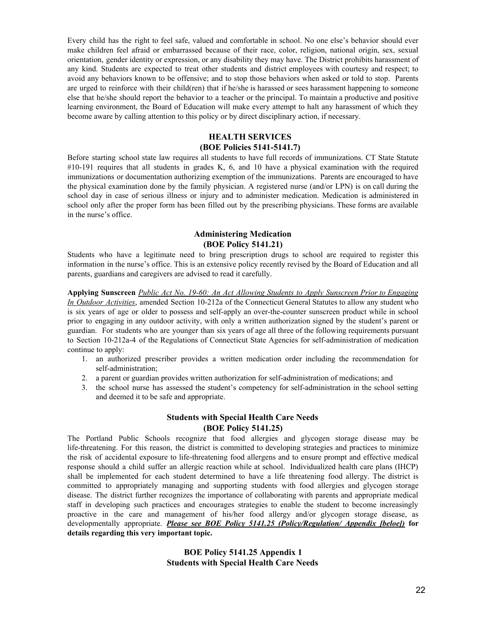Every child has the right to feel safe, valued and comfortable in school. No one else's behavior should ever make children feel afraid or embarrassed because of their race, color, religion, national origin, sex, sexual orientation, gender identity or expression, or any disability they may have. The District prohibits harassment of any kind. Students are expected to treat other students and district employees with courtesy and respect; to avoid any behaviors known to be offensive; and to stop those behaviors when asked or told to stop. Parents are urged to reinforce with their child(ren) that if he/she is harassed or sees harassment happening to someone else that he/she should report the behavior to a teacher or the principal. To maintain a productive and positive learning environment, the Board of Education will make every attempt to halt any harassment of which they become aware by calling attention to this policy or by direct disciplinary action, if necessary.

### **HEALTH SERVICES (BOE Policies 5141-5141.7)**

Before starting school state law requires all students to have full records of immunizations. CT State Statute #10-191 requires that all students in grades K, 6, and 10 have a physical examination with the required immunizations or documentation authorizing exemption of the immunizations. Parents are encouraged to have the physical examination done by the family physician. A registered nurse (and/or LPN) is on call during the school day in case of serious illness or injury and to administer medication. Medication is administered in school only after the proper form has been filled out by the prescribing physicians. These forms are available in the nurse's office.

### **Administering Medication (BOE Policy 5141.21)**

Students who have a legitimate need to bring prescription drugs to school are required to register this information in the nurse's office. This is an extensive policy recently revised by the Board of Education and all parents, guardians and caregivers are advised to read it carefully.

**Applying Sunscreen** *Public Act No. 19-60: An Act Allowing Students to Apply Sunscreen Prior to Engaging In Outdoor Activities*, amended Section 10-212a of the Connecticut General Statutes to allow any student who is six years of age or older to possess and self-apply an over-the-counter sunscreen product while in school prior to engaging in any outdoor activity, with only a written authorization signed by the student's parent or guardian. For students who are younger than six years of age all three of the following requirements pursuant to Section 10-212a-4 of the Regulations of Connecticut State Agencies for self-administration of medication continue to apply:

- 1. an authorized prescriber provides a written medication order including the recommendation for self-administration;
- 2. a parent or guardian provides written authorization for self-administration of medications; and
- 3. the school nurse has assessed the student's competency for self-administration in the school setting and deemed it to be safe and appropriate.

### **Students with Special Health Care Needs (BOE Policy 5141.25)**

The Portland Public Schools recognize that food allergies and glycogen storage disease may be life-threatening. For this reason, the district is committed to developing strategies and practices to minimize the risk of accidental exposure to life-threatening food allergens and to ensure prompt and effective medical response should a child suffer an allergic reaction while at school. Individualized health care plans (IHCP) shall be implemented for each student determined to have a life threatening food allergy. The district is committed to appropriately managing and supporting students with food allergies and glycogen storage disease. The district further recognizes the importance of collaborating with parents and appropriate medical staff in developing such practices and encourages strategies to enable the student to become increasingly proactive in the care and management of his/her food allergy and/or glycogen storage disease, as developmentally appropriate. *Please see BOE Policy 5141.25 (Policy/Regulation/ Appendix [beloe])* **for details regarding this very important topic.**

### **BOE Policy 5141.25 Appendix 1 Students with Special Health Care Needs**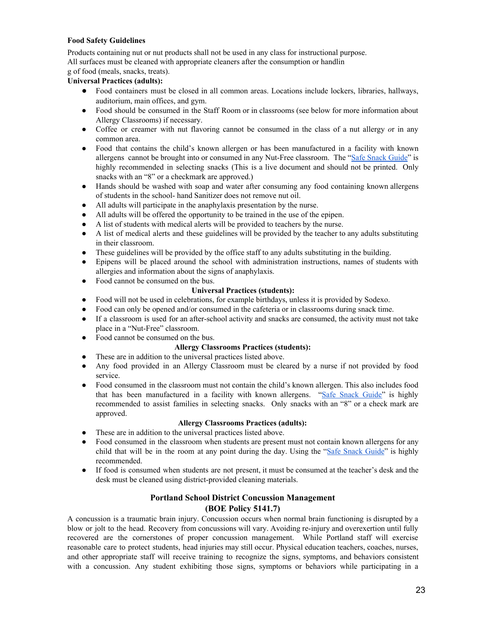#### **Food Safety Guidelines**

Products containing nut or nut products shall not be used in any class for instructional purpose. All surfaces must be cleaned with appropriate cleaners after the consumption or handlin

g of food (meals, snacks, treats).

### **Universal Practices (adults):**

- Food containers must be closed in all common areas. Locations include lockers, libraries, hallways, auditorium, main offices, and gym.
- Food should be consumed in the Staff Room or in classrooms (see below for more information about Allergy Classrooms) if necessary.
- Coffee or creamer with nut flavoring cannot be consumed in the class of a nut allergy *o*r in any common area.
- Food that contains the child's known allergen or has been manufactured in a facility with known allergens cannot be brought into or consumed in any Nut-Free classroom. The "Safe [Snack](https://snacksafely.com/safe-snack-guide/) Guide" is highly recommended in selecting snacks (This is a live document and should not be printed. Only snacks with an "8" or a checkmark are approved.)
- Hands should be washed with soap and water after consuming any food containing known allergens of students in the school- hand Sanitizer does not remove nut oil.
- All adults will participate in the anaphylaxis presentation by the nurse.
- All adults will be offered the opportunity to be trained in the use of the epipen.
- A list of students with medical alerts will be provided to teachers by the nurse.
- A list of medical alerts and these guidelines will be provided by the teacher to any adults substituting in their classroom.
- These guidelines will be provided by the office staff to any adults substituting in the building.
- Epipens will be placed around the school with administration instructions, names of students with allergies and information about the signs of anaphylaxis.
- Food cannot be consumed on the bus.

### **Universal Practices (students):**

- Food will not be used in celebrations, for example birthdays, unless it is provided by Sodexo.
- Food can only be opened and/or consumed in the cafeteria or in classrooms during snack time.
- If a classroom is used for an after-school activity and snacks are consumed, the activity must not take place in a "Nut-Free" classroom.
- Food cannot be consumed on the bus.

#### **Allergy Classrooms Practices (students):**

- These are in addition to the universal practices listed above.
- Any food provided in an Allergy Classroom must be cleared by a nurse if not provided by food service.
- Food consumed in the classroom must not contain the child's known allergen. This also includes food that has been manufactured in a facility with known allergens. "Safe [Snack](https://snacksafely.com/safe-snack-guide/) Guide" is highly recommended to assist families in selecting snacks. Only snacks with an "8" or a check mark are approved.

#### **Allergy Classrooms Practices (adults):**

- These are in addition to the universal practices listed above.
- Food consumed in the classroom when students are present must not contain known allergens for any child that will be in the room at any point during the day. Using the "Safe Snack [Guide"](https://snacksafely.com/safe-snack-guide/) is highly recommended.
- If food is consumed when students are not present, it must be consumed at the teacher's desk and the desk must be cleaned using district-provided cleaning materials.

### **Portland School District Concussion Management (BOE Policy 5141.7)**

A concussion is a traumatic brain injury. Concussion occurs when normal brain functioning is disrupted by a blow or jolt to the head. Recovery from concussions will vary. Avoiding re-injury and overexertion until fully recovered are the cornerstones of proper concussion management. While Portland staff will exercise reasonable care to protect students, head injuries may still occur. Physical education teachers, coaches, nurses, and other appropriate staff will receive training to recognize the signs, symptoms, and behaviors consistent with a concussion. Any student exhibiting those signs, symptoms or behaviors while participating in a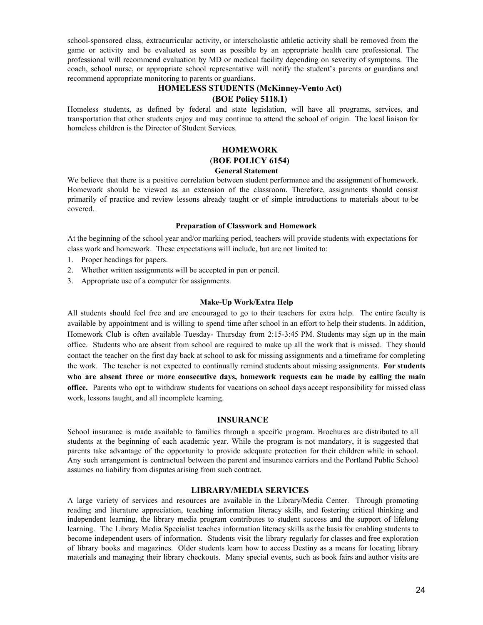school-sponsored class, extracurricular activity, or interscholastic athletic activity shall be removed from the game or activity and be evaluated as soon as possible by an appropriate health care professional. The professional will recommend evaluation by MD or medical facility depending on severity of symptoms. The coach, school nurse, or appropriate school representative will notify the student's parents or guardians and recommend appropriate monitoring to parents or guardians.

# **HOMELESS STUDENTS (McKinney-Vento Act)**

### **(BOE Policy 5118.1)**

Homeless students, as defined by federal and state legislation, will have all programs, services, and transportation that other students enjoy and may continue to attend the school of origin. The local liaison for homeless children is the Director of Student Services.

# **HOMEWORK** (**BOE POLICY 6154)**

#### **General Statement**

We believe that there is a positive correlation between student performance and the assignment of homework. Homework should be viewed as an extension of the classroom. Therefore, assignments should consist primarily of practice and review lessons already taught or of simple introductions to materials about to be covered.

#### **Preparation of Classwork and Homework**

At the beginning of the school year and/or marking period, teachers will provide students with expectations for class work and homework. These expectations will include, but are not limited to:

- 1. Proper headings for papers.
- 2. Whether written assignments will be accepted in pen or pencil.
- 3. Appropriate use of a computer for assignments.

#### **Make-Up Work/Extra Help**

All students should feel free and are encouraged to go to their teachers for extra help. The entire faculty is available by appointment and is willing to spend time after school in an effort to help their students. In addition, Homework Club is often available Tuesday- Thursday from 2:15-3:45 PM. Students may sign up in the main office. Students who are absent from school are required to make up all the work that is missed. They should contact the teacher on the first day back at school to ask for missing assignments and a timeframe for completing the work. The teacher is not expected to continually remind students about missing assignments. **For students who are absent three or more consecutive days, homework requests can be made by calling the main office.** Parents who opt to withdraw students for vacations on school days accept responsibility for missed class work, lessons taught, and all incomplete learning.

#### **INSURANCE**

School insurance is made available to families through a specific program. Brochures are distributed to all students at the beginning of each academic year. While the program is not mandatory, it is suggested that parents take advantage of the opportunity to provide adequate protection for their children while in school. Any such arrangement is contractual between the parent and insurance carriers and the Portland Public School assumes no liability from disputes arising from such contract.

### **LIBRARY/MEDIA SERVICES**

A large variety of services and resources are available in the Library/Media Center. Through promoting reading and literature appreciation, teaching information literacy skills, and fostering critical thinking and independent learning, the library media program contributes to student success and the support of lifelong learning. The Library Media Specialist teaches information literacy skills as the basis for enabling students to become independent users of information. Students visit the library regularly for classes and free exploration of library books and magazines. Older students learn how to access Destiny as a means for locating library materials and managing their library checkouts. Many special events, such as book fairs and author visits are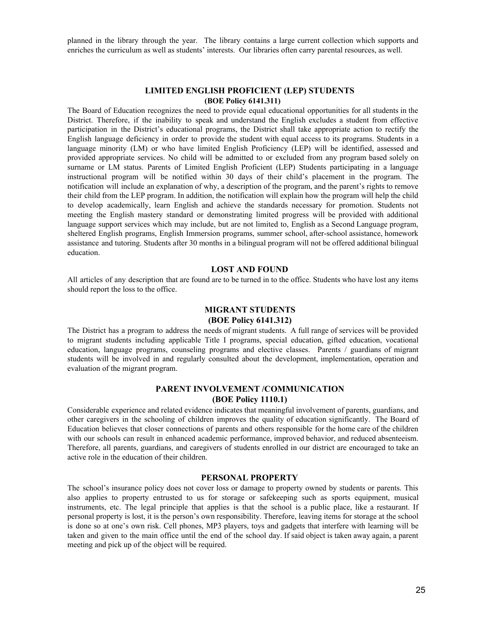planned in the library through the year. The library contains a large current collection which supports and enriches the curriculum as well as students' interests. Our libraries often carry parental resources, as well.

#### **LIMITED ENGLISH PROFICIENT (LEP) STUDENTS (BOE Policy 6141.311)**

The Board of Education recognizes the need to provide equal educational opportunities for all students in the District. Therefore, if the inability to speak and understand the English excludes a student from effective participation in the District's educational programs, the District shall take appropriate action to rectify the English language deficiency in order to provide the student with equal access to its programs. Students in a language minority (LM) or who have limited English Proficiency (LEP) will be identified, assessed and provided appropriate services. No child will be admitted to or excluded from any program based solely on surname or LM status. Parents of Limited English Proficient (LEP) Students participating in a language instructional program will be notified within 30 days of their child's placement in the program. The notification will include an explanation of why, a description of the program, and the parent's rights to remove their child from the LEP program. In addition, the notification will explain how the program will help the child to develop academically, learn English and achieve the standards necessary for promotion. Students not meeting the English mastery standard or demonstrating limited progress will be provided with additional language support services which may include, but are not limited to, English as a Second Language program, sheltered English programs, English Immersion programs, summer school, after-school assistance, homework assistance and tutoring. Students after 30 months in a bilingual program will not be offered additional bilingual education.

### **LOST AND FOUND**

All articles of any description that are found are to be turned in to the office. Students who have lost any items should report the loss to the office.

#### **MIGRANT STUDENTS**

#### **(BOE Policy 6141.312)**

The District has a program to address the needs of migrant students. A full range of services will be provided to migrant students including applicable Title I programs, special education, gifted education, vocational education, language programs, counseling programs and elective classes. Parents / guardians of migrant students will be involved in and regularly consulted about the development, implementation, operation and evaluation of the migrant program.

### **PARENT INVOLVEMENT /COMMUNICATION (BOE Policy 1110.1)**

Considerable experience and related evidence indicates that meaningful involvement of parents, guardians, and other caregivers in the schooling of children improves the quality of education significantly. The Board of Education believes that closer connections of parents and others responsible for the home care of the children with our schools can result in enhanced academic performance, improved behavior, and reduced absenteeism. Therefore, all parents, guardians, and caregivers of students enrolled in our district are encouraged to take an active role in the education of their children.

#### **PERSONAL PROPERTY**

The school's insurance policy does not cover loss or damage to property owned by students or parents. This also applies to property entrusted to us for storage or safekeeping such as sports equipment, musical instruments, etc. The legal principle that applies is that the school is a public place, like a restaurant. If personal property is lost, it is the person's own responsibility. Therefore, leaving items for storage at the school is done so at one's own risk. Cell phones, MP3 players, toys and gadgets that interfere with learning will be taken and given to the main office until the end of the school day. If said object is taken away again, a parent meeting and pick up of the object will be required.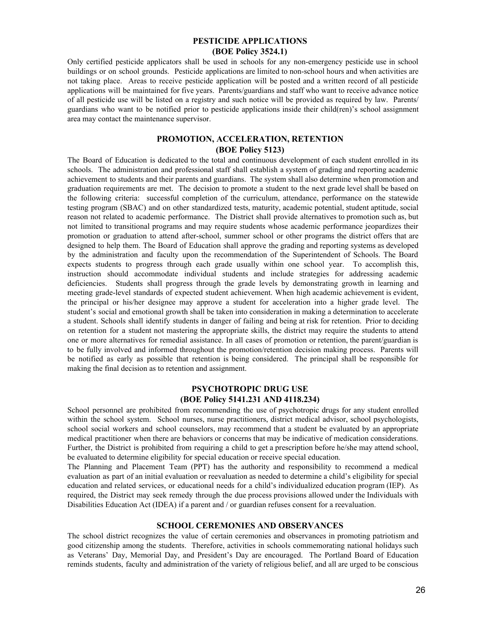### **PESTICIDE APPLICATIONS (BOE Policy 3524.1)**

Only certified pesticide applicators shall be used in schools for any non-emergency pesticide use in school buildings or on school grounds. Pesticide applications are limited to non-school hours and when activities are not taking place. Areas to receive pesticide application will be posted and a written record of all pesticide applications will be maintained for five years. Parents/guardians and staff who want to receive advance notice of all pesticide use will be listed on a registry and such notice will be provided as required by law. Parents/ guardians who want to be notified prior to pesticide applications inside their child(ren)'s school assignment area may contact the maintenance supervisor.

### **PROMOTION, ACCELERATION, RETENTION (BOE Policy 5123)**

The Board of Education is dedicated to the total and continuous development of each student enrolled in its schools. The administration and professional staff shall establish a system of grading and reporting academic achievement to students and their parents and guardians. The system shall also determine when promotion and graduation requirements are met. The decision to promote a student to the next grade level shall be based on the following criteria: successful completion of the curriculum, attendance, performance on the statewide testing program (SBAC) and on other standardized tests, maturity, academic potential, student aptitude, social reason not related to academic performance. The District shall provide alternatives to promotion such as, but not limited to transitional programs and may require students whose academic performance jeopardizes their promotion or graduation to attend after-school, summer school or other programs the district offers that are designed to help them. The Board of Education shall approve the grading and reporting systems as developed by the administration and faculty upon the recommendation of the Superintendent of Schools. The Board expects students to progress through each grade usually within one school year. To accomplish this, instruction should accommodate individual students and include strategies for addressing academic deficiencies. Students shall progress through the grade levels by demonstrating growth in learning and meeting grade-level standards of expected student achievement. When high academic achievement is evident, the principal or his/her designee may approve a student for acceleration into a higher grade level. The student's social and emotional growth shall be taken into consideration in making a determination to accelerate a student. Schools shall identify students in danger of failing and being at risk for retention. Prior to deciding on retention for a student not mastering the appropriate skills, the district may require the students to attend one or more alternatives for remedial assistance. In all cases of promotion or retention, the parent/guardian is to be fully involved and informed throughout the promotion/retention decision making process. Parents will be notified as early as possible that retention is being considered. The principal shall be responsible for making the final decision as to retention and assignment.

### **PSYCHOTROPIC DRUG USE (BOE Policy 5141.231 AND 4118.234)**

School personnel are prohibited from recommending the use of psychotropic drugs for any student enrolled within the school system. School nurses, nurse practitioners, district medical advisor, school psychologists, school social workers and school counselors, may recommend that a student be evaluated by an appropriate medical practitioner when there are behaviors or concerns that may be indicative of medication considerations. Further, the District is prohibited from requiring a child to get a prescription before he/she may attend school, be evaluated to determine eligibility for special education or receive special education.

The Planning and Placement Team (PPT) has the authority and responsibility to recommend a medical evaluation as part of an initial evaluation or reevaluation as needed to determine a child's eligibility for special education and related services, or educational needs for a child's individualized education program (IEP). As required, the District may seek remedy through the due process provisions allowed under the Individuals with Disabilities Education Act (IDEA) if a parent and / or guardian refuses consent for a reevaluation.

#### **SCHOOL CEREMONIES AND OBSERVANCES**

The school district recognizes the value of certain ceremonies and observances in promoting patriotism and good citizenship among the students. Therefore, activities in schools commemorating national holidays such as Veterans' Day, Memorial Day, and President's Day are encouraged. The Portland Board of Education reminds students, faculty and administration of the variety of religious belief, and all are urged to be conscious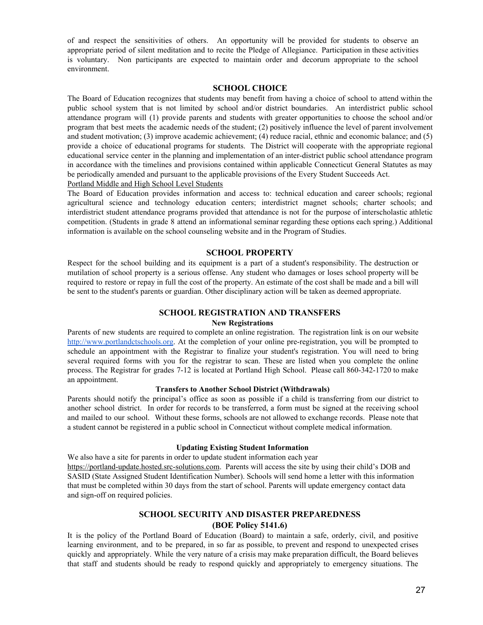of and respect the sensitivities of others. An opportunity will be provided for students to observe an appropriate period of silent meditation and to recite the Pledge of Allegiance. Participation in these activities is voluntary. Non participants are expected to maintain order and decorum appropriate to the school environment.

#### **SCHOOL CHOICE**

The Board of Education recognizes that students may benefit from having a choice of school to attend within the public school system that is not limited by school and/or district boundaries. An interdistrict public school attendance program will (1) provide parents and students with greater opportunities to choose the school and/or program that best meets the academic needs of the student; (2) positively influence the level of parent involvement and student motivation; (3) improve academic achievement; (4) reduce racial, ethnic and economic balance; and (5) provide a choice of educational programs for students. The District will cooperate with the appropriate regional educational service center in the planning and implementation of an inter-district public school attendance program in accordance with the timelines and provisions contained within applicable Connecticut General Statutes as may be periodically amended and pursuant to the applicable provisions of the Every Student Succeeds Act. Portland Middle and High School Level Students

The Board of Education provides information and access to: technical education and career schools; regional agricultural science and technology education centers; interdistrict magnet schools; charter schools; and interdistrict student attendance programs provided that attendance is not for the purpose of interscholastic athletic competition. (Students in grade 8 attend an informational seminar regarding these options each spring.) Additional information is available on the school counseling website and in the Program of Studies.

#### **SCHOOL PROPERTY**

Respect for the school building and its equipment is a part of a student's responsibility. The destruction or mutilation of school property is a serious offense. Any student who damages or loses school property will be required to restore or repay in full the cost of the property. An estimate of the cost shall be made and a bill will be sent to the student's parents or guardian. Other disciplinary action will be taken as deemed appropriate.

#### **SCHOOL REGISTRATION AND TRANSFERS**

#### **New Registrations**

Parents of new students are required to complete an online registration. The registration link is on our website [http://www.portlandctschools.org.](http://www.portlandctschools.org/) At the completion of your online pre-registration, you will be prompted to schedule an appointment with the Registrar to finalize your student's registration. You will need to bring several required forms with you for the registrar to scan. These are listed when you complete the online process. The Registrar for grades 7-12 is located at Portland High School. Please call 860-342-1720 to make an appointment.

#### **Transfers to Another School District (Withdrawals)**

Parents should notify the principal's office as soon as possible if a child is transferring from our district to another school district. In order for records to be transferred, a form must be signed at the receiving school and mailed to our school. Without these forms, schools are not allowed to exchange records. Please note that a student cannot be registered in a public school in Connecticut without complete medical information.

#### **Updating Existing Student Information**

We also have a site for parents in order to update student [information](https://portland-update.hosted.src-solutions.com/) each year [https://portland-update.hosted.src-solutions.com](https://portland-update.hosted.src-solutions.com/). Parents will access the site by using their child's DOB and SASID (State Assigned Student Identification Number). Schools will send home a letter with this information that must be completed within 30 days from the start of school. Parents will update emergency contact data and sign-off on required policies.

### **SCHOOL SECURITY AND DISASTER PREPAREDNESS (BOE Policy 5141.6)**

It is the policy of the Portland Board of Education (Board) to maintain a safe, orderly, civil, and positive learning environment, and to be prepared, in so far as possible, to prevent and respond to unexpected crises quickly and appropriately. While the very nature of a crisis may make preparation difficult, the Board believes that staff and students should be ready to respond quickly and appropriately to emergency situations. The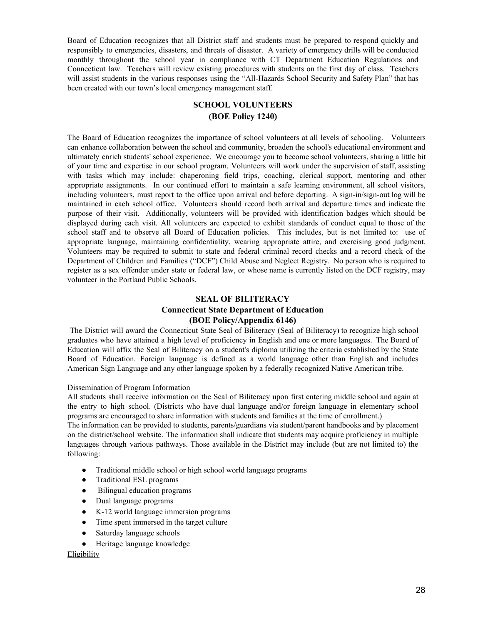Board of Education recognizes that all District staff and students must be prepared to respond quickly and responsibly to emergencies, disasters, and threats of disaster. A variety of emergency drills will be conducted monthly throughout the school year in compliance with CT Department Education Regulations and Connecticut law. Teachers will review existing procedures with students on the first day of class. Teachers will assist students in the various responses using the "All-Hazards School Security and Safety Plan" that has been created with our town's local emergency management staff.

## **SCHOOL VOLUNTEERS (BOE Policy 1240)**

The Board of Education recognizes the importance of school volunteers at all levels of schooling. Volunteers can enhance collaboration between the school and community, broaden the school's educational environment and ultimately enrich students' school experience. We encourage you to become school volunteers, sharing a little bit of your time and expertise in our school program. Volunteers will work under the supervision of staff, assisting with tasks which may include: chaperoning field trips, coaching, clerical support, mentoring and other appropriate assignments. In our continued effort to maintain a safe learning environment, all school visitors, including volunteers, must report to the office upon arrival and before departing. A sign-in/sign-out log will be maintained in each school office. Volunteers should record both arrival and departure times and indicate the purpose of their visit. Additionally, volunteers will be provided with identification badges which should be displayed during each visit. All volunteers are expected to exhibit standards of conduct equal to those of the school staff and to observe all Board of Education policies. This includes, but is not limited to: use of appropriate language, maintaining confidentiality, wearing appropriate attire, and exercising good judgment. Volunteers may be required to submit to state and federal criminal record checks and a record check of the Department of Children and Families ("DCF") Child Abuse and Neglect Registry. No person who is required to register as a sex offender under state or federal law, or whose name is currently listed on the DCF registry, may volunteer in the Portland Public Schools.

### **SEAL OF BILITERACY Connecticut State Department of Education (BOE Policy/Appendix 6146)**

The District will award the Connecticut State Seal of Biliteracy (Seal of Biliteracy) to recognize high school graduates who have attained a high level of proficiency in English and one or more languages. The Board of Education will affix the Seal of Biliteracy on a student's diploma utilizing the criteria established by the State Board of Education. Foreign language is defined as a world language other than English and includes American Sign Language and any other language spoken by a federally recognized Native American tribe.

#### Dissemination of Program Information

All students shall receive information on the Seal of Biliteracy upon first entering middle school and again at the entry to high school. (Districts who have dual language and/or foreign language in elementary school programs are encouraged to share information with students and families at the time of enrollment.)

The information can be provided to students, parents/guardians via student/parent handbooks and by placement on the district/school website. The information shall indicate that students may acquire proficiency in multiple languages through various pathways. Those available in the District may include (but are not limited to) the following:

- Traditional middle school or high school world language programs
- Traditional ESL programs
- Bilingual education programs
- Dual language programs
- K-12 world language immersion programs
- Time spent immersed in the target culture
- Saturday language schools
- Heritage language knowledge

#### Eligibility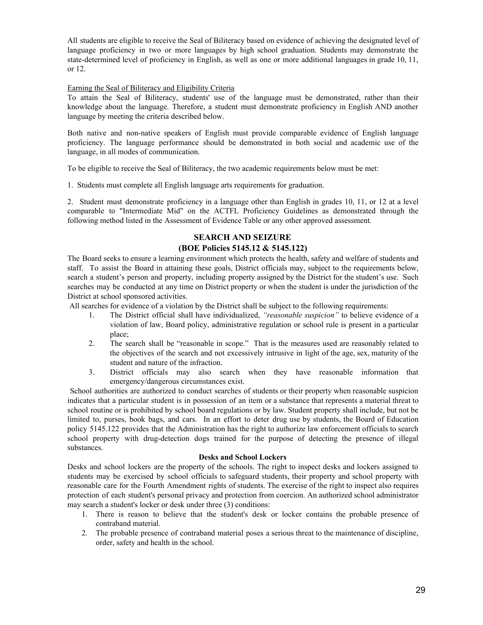All students are eligible to receive the Seal of Biliteracy based on evidence of achieving the designated level of language proficiency in two or more languages by high school graduation. Students may demonstrate the state-determined level of proficiency in English, as well as one or more additional languages in grade 10, 11, or 12.

#### Earning the Seal of Biliteracy and Eligibility Criteria

To attain the Seal of Biliteracy, students' use of the language must be demonstrated, rather than their knowledge about the language. Therefore, a student must demonstrate proficiency in English AND another language by meeting the criteria described below.

Both native and non-native speakers of English must provide comparable evidence of English language proficiency. The language performance should be demonstrated in both social and academic use of the language, in all modes of communication.

To be eligible to receive the Seal of Biliteracy, the two academic requirements below must be met:

1. Students must complete all English language arts requirements for graduation.

2. Student must demonstrate proficiency in a language other than English in grades 10, 11, or 12 at a level comparable to "Intermediate Mid" on the ACTFL Proficiency Guidelines as demonstrated through the following method listed in the Assessment of Evidence Table or any other approved assessment.

## **SEARCH AND SEIZURE (BOE Policies 5145.12 & 5145.122)**

The Board seeks to ensure a learning environment which protects the health, safety and welfare of students and staff. To assist the Board in attaining these goals, District officials may, subject to the requirements below, search a student's person and property, including property assigned by the District for the student's use. Such searches may be conducted at any time on District property or when the student is under the jurisdiction of the District at school sponsored activities.

All searches for evidence of a violation by the District shall be subject to the following requirements:

- 1. The District official shall have individualized, *"reasonable suspicion"* to believe evidence of a violation of law, Board policy, administrative regulation or school rule is present in a particular place;
- 2. The search shall be "reasonable in scope." That is the measures used are reasonably related to the objectives of the search and not excessively intrusive in light of the age, sex, maturity of the student and nature of the infraction.
- 3. District officials may also search when they have reasonable information that emergency/dangerous circumstances exist.

School authorities are authorized to conduct searches of students or their property when reasonable suspicion indicates that a particular student is in possession of an item or a substance that represents a material threat to school routine or is prohibited by school board regulations or by law. Student property shall include, but not be limited to, purses, book bags, and cars. In an effort to deter drug use by students, the Board of Education policy 5145.122 provides that the Administration has the right to authorize law enforcement officials to search school property with drug-detection dogs trained for the purpose of detecting the presence of illegal substances.

#### **Desks and School Lockers**

Desks and school lockers are the property of the schools. The right to inspect desks and lockers assigned to students may be exercised by school officials to safeguard students, their property and school property with reasonable care for the Fourth Amendment rights of students. The exercise of the right to inspect also requires protection of each student's personal privacy and protection from coercion. An authorized school administrator may search a student's locker or desk under three (3) conditions:

- 1. There is reason to believe that the student's desk or locker contains the probable presence of contraband material.
- 2. The probable presence of contraband material poses a serious threat to the maintenance of discipline, order, safety and health in the school.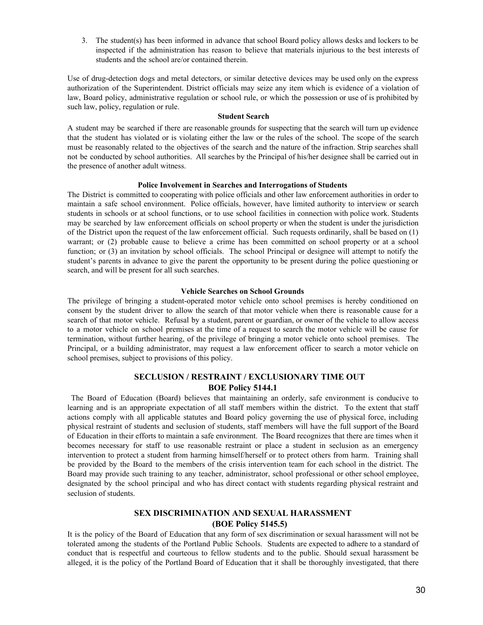3. The student(s) has been informed in advance that school Board policy allows desks and lockers to be inspected if the administration has reason to believe that materials injurious to the best interests of students and the school are/or contained therein.

Use of drug-detection dogs and metal detectors, or similar detective devices may be used only on the express authorization of the Superintendent. District officials may seize any item which is evidence of a violation of law, Board policy, administrative regulation or school rule, or which the possession or use of is prohibited by such law, policy, regulation or rule.

#### **Student Search**

A student may be searched if there are reasonable grounds for suspecting that the search will turn up evidence that the student has violated or is violating either the law or the rules of the school. The scope of the search must be reasonably related to the objectives of the search and the nature of the infraction. Strip searches shall not be conducted by school authorities. All searches by the Principal of his/her designee shall be carried out in the presence of another adult witness.

#### **Police Involvement in Searches and Interrogations of Students**

The District is committed to cooperating with police officials and other law enforcement authorities in order to maintain a safe school environment. Police officials, however, have limited authority to interview or search students in schools or at school functions, or to use school facilities in connection with police work. Students may be searched by law enforcement officials on school property or when the student is under the jurisdiction of the District upon the request of the law enforcement official. Such requests ordinarily, shall be based on (1) warrant; or (2) probable cause to believe a crime has been committed on school property or at a school function; or (3) an invitation by school officials. The school Principal or designee will attempt to notify the student's parents in advance to give the parent the opportunity to be present during the police questioning or search, and will be present for all such searches.

#### **Vehicle Searches on School Grounds**

The privilege of bringing a student-operated motor vehicle onto school premises is hereby conditioned on consent by the student driver to allow the search of that motor vehicle when there is reasonable cause for a search of that motor vehicle. Refusal by a student, parent or guardian, or owner of the vehicle to allow access to a motor vehicle on school premises at the time of a request to search the motor vehicle will be cause for termination, without further hearing, of the privilege of bringing a motor vehicle onto school premises. The Principal, or a building administrator, may request a law enforcement officer to search a motor vehicle on school premises, subject to provisions of this policy.

### **SECLUSION / RESTRAINT / EXCLUSIONARY TIME OUT BOE Policy 5144.1**

The Board of Education (Board) believes that maintaining an orderly, safe environment is conducive to learning and is an appropriate expectation of all staff members within the district. To the extent that staff actions comply with all applicable statutes and Board policy governing the use of physical force, including physical restraint of students and seclusion of students, staff members will have the full support of the Board of Education in their efforts to maintain a safe environment. The Board recognizes that there are times when it becomes necessary for staff to use reasonable restraint or place a student in seclusion as an emergency intervention to protect a student from harming himself/herself or to protect others from harm. Training shall be provided by the Board to the members of the crisis intervention team for each school in the district. The Board may provide such training to any teacher, administrator, school professional or other school employee, designated by the school principal and who has direct contact with students regarding physical restraint and seclusion of students.

### **SEX DISCRIMINATION AND SEXUAL HARASSMENT (BOE Policy 5145.5)**

It is the policy of the Board of Education that any form of sex discrimination or sexual harassment will not be tolerated among the students of the Portland Public Schools. Students are expected to adhere to a standard of conduct that is respectful and courteous to fellow students and to the public. Should sexual harassment be alleged, it is the policy of the Portland Board of Education that it shall be thoroughly investigated, that there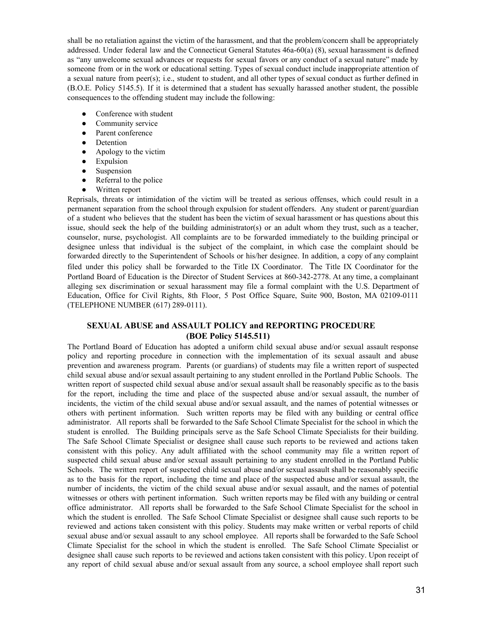shall be no retaliation against the victim of the harassment, and that the problem/concern shall be appropriately addressed. Under federal law and the Connecticut General Statutes 46a-60(a) (8), sexual harassment is defined as "any unwelcome sexual advances or requests for sexual favors or any conduct of a sexual nature" made by someone from or in the work or educational setting. Types of sexual conduct include inappropriate attention of a sexual nature from peer(s); i.e., student to student, and all other types of sexual conduct as further defined in (B.O.E. Policy 5145.5). If it is determined that a student has sexually harassed another student, the possible consequences to the offending student may include the following:

- Conference with student
- Community service
- Parent conference
- Detention
- Apology to the victim
- **Expulsion**
- **Suspension**
- Referral to the police
- Written report

Reprisals, threats or intimidation of the victim will be treated as serious offenses, which could result in a permanent separation from the school through expulsion for student offenders. Any student or parent/guardian of a student who believes that the student has been the victim of sexual harassment or has questions about this issue, should seek the help of the building administrator(s) or an adult whom they trust, such as a teacher, counselor, nurse, psychologist. All complaints are to be forwarded immediately to the building principal or designee unless that individual is the subject of the complaint, in which case the complaint should be forwarded directly to the Superintendent of Schools or his/her designee. In addition, a copy of any complaint filed under this policy shall be forwarded to the Title IX Coordinator. The Title IX Coordinator for the Portland Board of Education is the Director of Student Services at 860-342-2778. At any time, a complainant alleging sex discrimination or sexual harassment may file a formal complaint with the U.S. Department of Education, Office for Civil Rights, 8th Floor, 5 Post Office Square, Suite 900, Boston, MA 02109-0111 (TELEPHONE NUMBER (617) 289-0111).

### **SEXUAL ABUSE and ASSAULT POLICY and REPORTING PROCEDURE (BOE Policy 5145.511)**

The Portland Board of Education has adopted a uniform child sexual abuse and/or sexual assault response policy and reporting procedure in connection with the implementation of its sexual assault and abuse prevention and awareness program. Parents (or guardians) of students may file a written report of suspected child sexual abuse and/or sexual assault pertaining to any student enrolled in the Portland Public Schools. The written report of suspected child sexual abuse and/or sexual assault shall be reasonably specific as to the basis for the report, including the time and place of the suspected abuse and/or sexual assault, the number of incidents, the victim of the child sexual abuse and/or sexual assault, and the names of potential witnesses or others with pertinent information. Such written reports may be filed with any building or central office administrator. All reports shall be forwarded to the Safe School Climate Specialist for the school in which the student is enrolled. The Building principals serve as the Safe School Climate Specialists for their building. The Safe School Climate Specialist or designee shall cause such reports to be reviewed and actions taken consistent with this policy. Any adult affiliated with the school community may file a written report of suspected child sexual abuse and/or sexual assault pertaining to any student enrolled in the Portland Public Schools. The written report of suspected child sexual abuse and/or sexual assault shall be reasonably specific as to the basis for the report, including the time and place of the suspected abuse and/or sexual assault, the number of incidents, the victim of the child sexual abuse and/or sexual assault, and the names of potential witnesses or others with pertinent information. Such written reports may be filed with any building or central office administrator. All reports shall be forwarded to the Safe School Climate Specialist for the school in which the student is enrolled. The Safe School Climate Specialist or designee shall cause such reports to be reviewed and actions taken consistent with this policy. Students may make written or verbal reports of child sexual abuse and/or sexual assault to any school employee. All reports shall be forwarded to the Safe School Climate Specialist for the school in which the student is enrolled. The Safe School Climate Specialist or designee shall cause such reports to be reviewed and actions taken consistent with this policy. Upon receipt of any report of child sexual abuse and/or sexual assault from any source, a school employee shall report such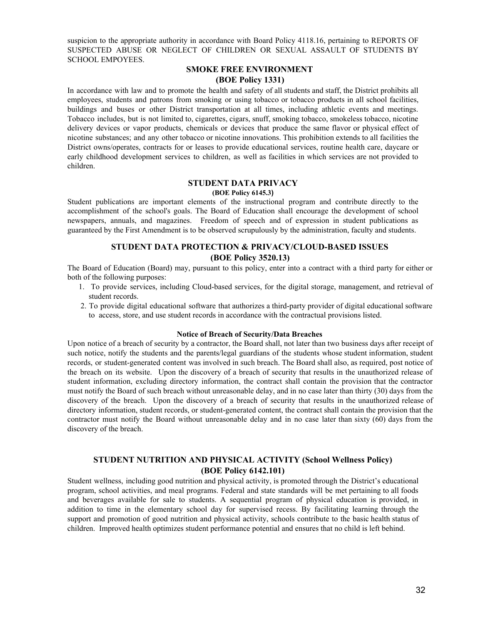suspicion to the appropriate authority in accordance with Board Policy 4118.16, pertaining to REPORTS OF SUSPECTED ABUSE OR NEGLECT OF CHILDREN OR SEXUAL ASSAULT OF STUDENTS BY SCHOOL EMPOYEES.

### **SMOKE FREE ENVIRONMENT (BOE Policy 1331)**

In accordance with law and to promote the health and safety of all students and staff, the District prohibits all employees, students and patrons from smoking or using tobacco or tobacco products in all school facilities, buildings and buses or other District transportation at all times, including athletic events and meetings. Tobacco includes, but is not limited to, cigarettes, cigars, snuff, smoking tobacco, smokeless tobacco, nicotine delivery devices or vapor products, chemicals or devices that produce the same flavor or physical effect of nicotine substances; and any other tobacco or nicotine innovations. This prohibition extends to all facilities the District owns/operates, contracts for or leases to provide educational services, routine health care, daycare or early childhood development services to children, as well as facilities in which services are not provided to children.

#### **STUDENT DATA PRIVACY**

#### **(BOE Policy 6145.3)**

Student publications are important elements of the instructional program and contribute directly to the accomplishment of the school's goals. The Board of Education shall encourage the development of school newspapers, annuals, and magazines. Freedom of speech and of expression in student publications as guaranteed by the First Amendment is to be observed scrupulously by the administration, faculty and students.

### **STUDENT DATA PROTECTION & PRIVACY/CLOUD-BASED ISSUES (BOE Policy 3520.13)**

The Board of Education (Board) may, pursuant to this policy, enter into a contract with a third party for either or both of the following purposes:

- 1. To provide services, including Cloud-based services, for the digital storage, management, and retrieval of student records.
- 2. To provide digital educational software that authorizes a third-party provider of digital educational software to access, store, and use student records in accordance with the contractual provisions listed.

#### **Notice of Breach of Security/Data Breaches**

Upon notice of a breach of security by a contractor, the Board shall, not later than two business days after receipt of such notice, notify the students and the parents/legal guardians of the students whose student information, student records, or student-generated content was involved in such breach. The Board shall also, as required, post notice of the breach on its website. Upon the discovery of a breach of security that results in the unauthorized release of student information, excluding directory information, the contract shall contain the provision that the contractor must notify the Board of such breach without unreasonable delay, and in no case later than thirty (30) days from the discovery of the breach. Upon the discovery of a breach of security that results in the unauthorized release of directory information, student records, or student-generated content, the contract shall contain the provision that the contractor must notify the Board without unreasonable delay and in no case later than sixty (60) days from the discovery of the breach.

### **STUDENT NUTRITION AND PHYSICAL ACTIVITY (School Wellness Policy) (BOE Policy 6142.101)**

Student wellness, including good nutrition and physical activity, is promoted through the District's educational program, school activities, and meal programs. Federal and state standards will be met pertaining to all foods and beverages available for sale to students. A sequential program of physical education is provided, in addition to time in the elementary school day for supervised recess. By facilitating learning through the support and promotion of good nutrition and physical activity, schools contribute to the basic health status of children. Improved health optimizes student performance potential and ensures that no child is left behind.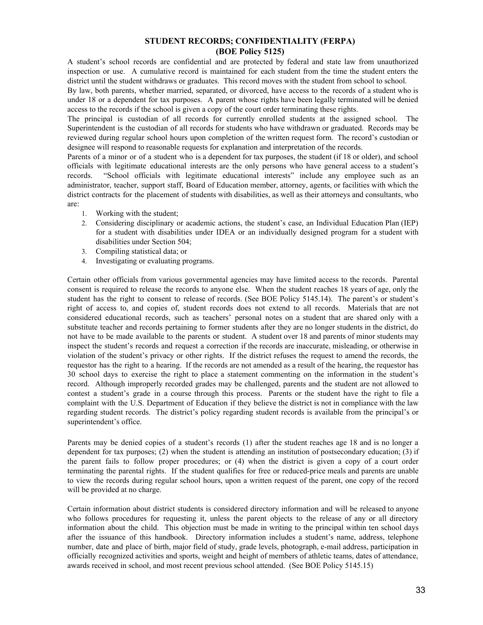### **STUDENT RECORDS; CONFIDENTIALITY (FERPA) (BOE Policy 5125)**

A student's school records are confidential and are protected by federal and state law from unauthorized inspection or use. A cumulative record is maintained for each student from the time the student enters the district until the student withdraws or graduates. This record moves with the student from school to school.

By law, both parents, whether married, separated, or divorced, have access to the records of a student who is under 18 or a dependent for tax purposes. A parent whose rights have been legally terminated will be denied access to the records if the school is given a copy of the court order terminating these rights.

The principal is custodian of all records for currently enrolled students at the assigned school. The Superintendent is the custodian of all records for students who have withdrawn or graduated. Records may be reviewed during regular school hours upon completion of the written request form. The record's custodian or designee will respond to reasonable requests for explanation and interpretation of the records.

Parents of a minor or of a student who is a dependent for tax purposes, the student (if 18 or older), and school officials with legitimate educational interests are the only persons who have general access to a student's records. "School officials with legitimate educational interests" include any employee such as an administrator, teacher, support staff, Board of Education member, attorney, agents, or facilities with which the district contracts for the placement of students with disabilities, as well as their attorneys and consultants, who are:

- 1. Working with the student;
- 2. Considering disciplinary or academic actions, the student's case, an Individual Education Plan (IEP) for a student with disabilities under IDEA or an individually designed program for a student with disabilities under Section 504;
- 3. Compiling statistical data; or
- 4. Investigating or evaluating programs.

Certain other officials from various governmental agencies may have limited access to the records. Parental consent is required to release the records to anyone else. When the student reaches 18 years of age, only the student has the right to consent to release of records. (See BOE Policy 5145.14). The parent's or student's right of access to, and copies of, student records does not extend to all records. Materials that are not considered educational records, such as teachers' personal notes on a student that are shared only with a substitute teacher and records pertaining to former students after they are no longer students in the district, do not have to be made available to the parents or student. A student over 18 and parents of minor students may inspect the student's records and request a correction if the records are inaccurate, misleading, or otherwise in violation of the student's privacy or other rights. If the district refuses the request to amend the records, the requestor has the right to a hearing. If the records are not amended as a result of the hearing, the requestor has 30 school days to exercise the right to place a statement commenting on the information in the student's record. Although improperly recorded grades may be challenged, parents and the student are not allowed to contest a student's grade in a course through this process. Parents or the student have the right to file a complaint with the U.S. Department of Education if they believe the district is not in compliance with the law regarding student records. The district's policy regarding student records is available from the principal's or superintendent's office.

Parents may be denied copies of a student's records (1) after the student reaches age 18 and is no longer a dependent for tax purposes; (2) when the student is attending an institution of postsecondary education; (3) if the parent fails to follow proper procedures; or (4) when the district is given a copy of a court order terminating the parental rights. If the student qualifies for free or reduced-price meals and parents are unable to view the records during regular school hours, upon a written request of the parent, one copy of the record will be provided at no charge.

Certain information about district students is considered directory information and will be released to anyone who follows procedures for requesting it, unless the parent objects to the release of any or all directory information about the child. This objection must be made in writing to the principal within ten school days after the issuance of this handbook. Directory information includes a student's name, address, telephone number, date and place of birth, major field of study, grade levels, photograph, e-mail address, participation in officially recognized activities and sports, weight and height of members of athletic teams, dates of attendance, awards received in school, and most recent previous school attended. (See BOE Policy 5145.15)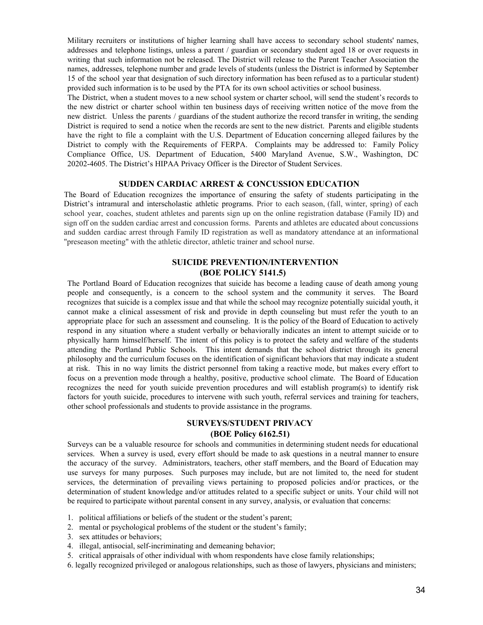Military recruiters or institutions of higher learning shall have access to secondary school students' names, addresses and telephone listings, unless a parent / guardian or secondary student aged 18 or over requests in writing that such information not be released. The District will release to the Parent Teacher Association the names, addresses, telephone number and grade levels of students (unless the District is informed by September 15 of the school year that designation of such directory information has been refused as to a particular student) provided such information is to be used by the PTA for its own school activities or school business.

The District, when a student moves to a new school system or charter school, will send the student's records to the new district or charter school within ten business days of receiving written notice of the move from the new district. Unless the parents / guardians of the student authorize the record transfer in writing, the sending District is required to send a notice when the records are sent to the new district. Parents and eligible students have the right to file a complaint with the U.S. Department of Education concerning alleged failures by the District to comply with the Requirements of FERPA. Complaints may be addressed to: Family Policy Compliance Office, US. Department of Education, 5400 Maryland Avenue, S.W., Washington, DC 20202-4605. The District's HIPAA Privacy Officer is the Director of Student Services.

#### **SUDDEN CARDIAC ARREST & CONCUSSION EDUCATION**

The Board of Education recognizes the importance of ensuring the safety of students participating in the District's intramural and interscholastic athletic programs. Prior to each season, (fall, winter, spring) of each school year, coaches, student athletes and parents sign up on the online registration database (Family ID) and sign off on the sudden cardiac arrest and concussion forms. Parents and athletes are educated about concussions and sudden cardiac arrest through Family ID registration as well as mandatory attendance at an informational "preseason meeting" with the athletic director, athletic trainer and school nurse.

### **SUICIDE PREVENTION/INTERVENTION (BOE POLICY 5141.5)**

The Portland Board of Education recognizes that suicide has become a leading cause of death among young people and consequently, is a concern to the school system and the community it serves. The Board recognizes that suicide is a complex issue and that while the school may recognize potentially suicidal youth, it cannot make a clinical assessment of risk and provide in depth counseling but must refer the youth to an appropriate place for such an assessment and counseling. It is the policy of the Board of Education to actively respond in any situation where a student verbally or behaviorally indicates an intent to attempt suicide or to physically harm himself/herself. The intent of this policy is to protect the safety and welfare of the students attending the Portland Public Schools. This intent demands that the school district through its general philosophy and the curriculum focuses on the identification of significant behaviors that may indicate a student at risk. This in no way limits the district personnel from taking a reactive mode, but makes every effort to focus on a prevention mode through a healthy, positive, productive school climate. The Board of Education recognizes the need for youth suicide prevention procedures and will establish program(s) to identify risk factors for youth suicide, procedures to intervene with such youth, referral services and training for teachers, other school professionals and students to provide assistance in the programs.

### **SURVEYS/STUDENT PRIVACY (BOE Policy 6162.51)**

Surveys can be a valuable resource for schools and communities in determining student needs for educational services. When a survey is used, every effort should be made to ask questions in a neutral manner to ensure the accuracy of the survey. Administrators, teachers, other staff members, and the Board of Education may use surveys for many purposes. Such purposes may include, but are not limited to, the need for student services, the determination of prevailing views pertaining to proposed policies and/or practices, or the determination of student knowledge and/or attitudes related to a specific subject or units. Your child will not be required to participate without parental consent in any survey, analysis, or evaluation that concerns:

- 1. political affiliations or beliefs of the student or the student's parent;
- 2. mental or psychological problems of the student or the student's family;
- 3. sex attitudes or behaviors;
- 4. illegal, antisocial, self-incriminating and demeaning behavior;
- 5. critical appraisals of other individual with whom respondents have close family relationships;
- 6. legally recognized privileged or analogous relationships, such as those of lawyers, physicians and ministers;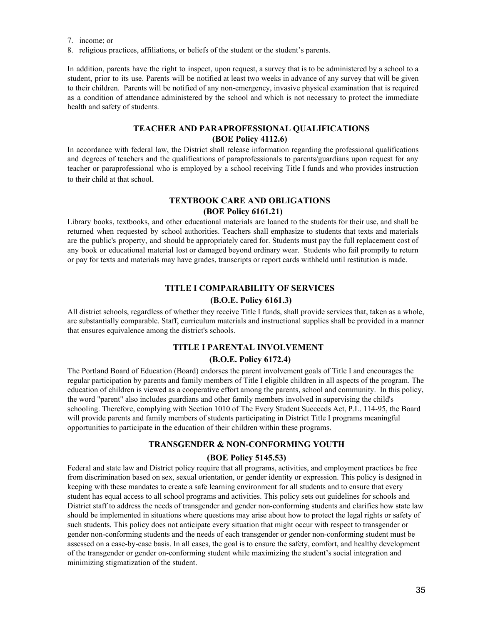7. income; or

8. religious practices, affiliations, or beliefs of the student or the student's parents.

In addition, parents have the right to inspect, upon request, a survey that is to be administered by a school to a student, prior to its use. Parents will be notified at least two weeks in advance of any survey that will be given to their children. Parents will be notified of any non-emergency, invasive physical examination that is required as a condition of attendance administered by the school and which is not necessary to protect the immediate health and safety of students.

### **TEACHER AND PARAPROFESSIONAL QUALIFICATIONS (BOE Policy 4112.6)**

In accordance with federal law, the District shall release information regarding the professional qualifications and degrees of teachers and the qualifications of paraprofessionals to parents/guardians upon request for any teacher or paraprofessional who is employed by a school receiving Title I funds and who provides instruction to their child at that school.

### **TEXTBOOK CARE AND OBLIGATIONS (BOE Policy 6161.21)**

Library books, textbooks, and other educational materials are loaned to the students for their use, and shall be returned when requested by school authorities. Teachers shall emphasize to students that texts and materials are the public's property, and should be appropriately cared for. Students must pay the full replacement cost of any book or educational material lost or damaged beyond ordinary wear. Students who fail promptly to return or pay for texts and materials may have grades, transcripts or report cards withheld until restitution is made.

### **TITLE I COMPARABILITY OF SERVICES (B.O.E. Policy 6161.3)**

All district schools, regardless of whether they receive Title I funds, shall provide services that, taken as a whole, are substantially comparable. Staff, curriculum materials and instructional supplies shall be provided in a manner that ensures equivalence among the district's schools.

### **TITLE I PARENTAL INVOLVEMENT**

#### **(B.O.E. Policy 6172.4)**

The Portland Board of Education (Board) endorses the parent involvement goals of Title I and encourages the regular participation by parents and family members of Title I eligible children in all aspects of the program. The education of children is viewed as a cooperative effort among the parents, school and community. In this policy, the word "parent" also includes guardians and other family members involved in supervising the child's schooling. Therefore, complying with Section 1010 of The Every Student Succeeds Act, P.L. 114-95, the Board will provide parents and family members of students participating in District Title I programs meaningful opportunities to participate in the education of their children within these programs.

### **TRANSGENDER & NON-CONFORMING YOUTH**

#### **(BOE Policy 5145.53)**

Federal and state law and District policy require that all programs, activities, and employment practices be free from discrimination based on sex, sexual orientation, or gender identity or expression. This policy is designed in keeping with these mandates to create a safe learning environment for all students and to ensure that every student has equal access to all school programs and activities. This policy sets out guidelines for schools and District staff to address the needs of transgender and gender non-conforming students and clarifies how state law should be implemented in situations where questions may arise about how to protect the legal rights or safety of such students. This policy does not anticipate every situation that might occur with respect to transgender or gender non-conforming students and the needs of each transgender or gender non-conforming student must be assessed on a case-by-case basis. In all cases, the goal is to ensure the safety, comfort, and healthy development of the transgender or gender on-conforming student while maximizing the student's social integration and minimizing stigmatization of the student.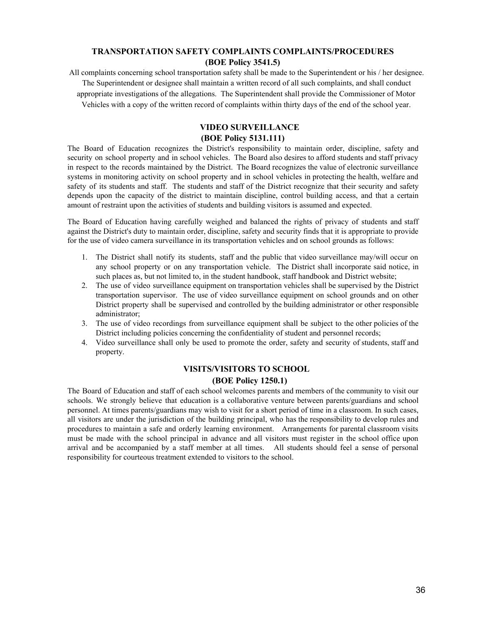### **TRANSPORTATION SAFETY COMPLAINTS COMPLAINTS/PROCEDURES (BOE Policy 3541.5)**

All complaints concerning school transportation safety shall be made to the Superintendent or his / her designee. The Superintendent or designee shall maintain a written record of all such complaints, and shall conduct appropriate investigations of the allegations. The Superintendent shall provide the Commissioner of Motor Vehicles with a copy of the written record of complaints within thirty days of the end of the school year.

### **VIDEO SURVEILLANCE (BOE Policy 5131.111)**

The Board of Education recognizes the District's responsibility to maintain order, discipline, safety and security on school property and in school vehicles. The Board also desires to afford students and staff privacy in respect to the records maintained by the District. The Board recognizes the value of electronic surveillance systems in monitoring activity on school property and in school vehicles in protecting the health, welfare and safety of its students and staff. The students and staff of the District recognize that their security and safety depends upon the capacity of the district to maintain discipline, control building access, and that a certain amount of restraint upon the activities of students and building visitors is assumed and expected.

The Board of Education having carefully weighed and balanced the rights of privacy of students and staff against the District's duty to maintain order, discipline, safety and security finds that it is appropriate to provide for the use of video camera surveillance in its transportation vehicles and on school grounds as follows:

- 1. The District shall notify its students, staff and the public that video surveillance may/will occur on any school property or on any transportation vehicle. The District shall incorporate said notice, in such places as, but not limited to, in the student handbook, staff handbook and District website;
- 2. The use of video surveillance equipment on transportation vehicles shall be supervised by the District transportation supervisor. The use of video surveillance equipment on school grounds and on other District property shall be supervised and controlled by the building administrator or other responsible administrator;
- 3. The use of video recordings from surveillance equipment shall be subject to the other policies of the District including policies concerning the confidentiality of student and personnel records;
- 4. Video surveillance shall only be used to promote the order, safety and security of students, staff and property.

### **VISITS/VISITORS TO SCHOOL (BOE Policy 1250.1)**

The Board of Education and staff of each school welcomes parents and members of the community to visit our schools. We strongly believe that education is a collaborative venture between parents/guardians and school personnel. At times parents/guardians may wish to visit for a short period of time in a classroom. In such cases, all visitors are under the jurisdiction of the building principal, who has the responsibility to develop rules and procedures to maintain a safe and orderly learning environment. Arrangements for parental classroom visits must be made with the school principal in advance and all visitors must register in the school office upon arrival and be accompanied by a staff member at all times. All students should feel a sense of personal responsibility for courteous treatment extended to visitors to the school.